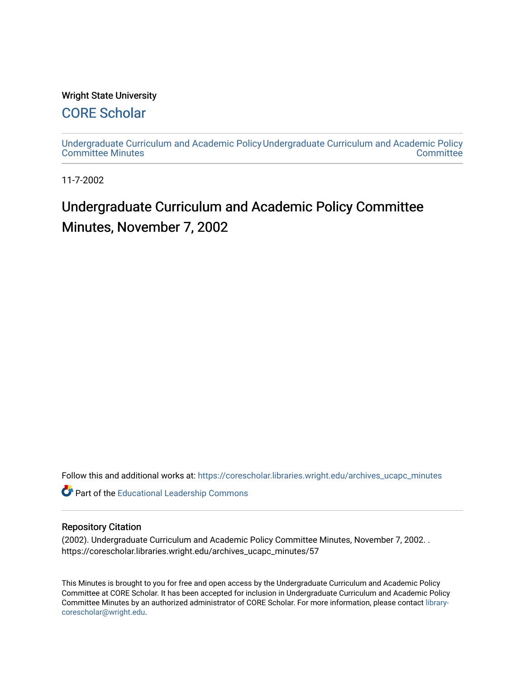### Wright State University

# [CORE Scholar](https://corescholar.libraries.wright.edu/)

[Undergraduate Curriculum and Academic Policy](https://corescholar.libraries.wright.edu/archives_ucapc_minutes) [Undergraduate Curriculum and Academic Policy](https://corescholar.libraries.wright.edu/archives_ucapc)  [Committee Minutes](https://corescholar.libraries.wright.edu/archives_ucapc_minutes) **Committee** 

11-7-2002

# Undergraduate Curriculum and Academic Policy Committee Minutes, November 7, 2002

Follow this and additional works at: [https://corescholar.libraries.wright.edu/archives\\_ucapc\\_minutes](https://corescholar.libraries.wright.edu/archives_ucapc_minutes?utm_source=corescholar.libraries.wright.edu%2Farchives_ucapc_minutes%2F57&utm_medium=PDF&utm_campaign=PDFCoverPages) 

Part of the [Educational Leadership Commons](http://network.bepress.com/hgg/discipline/1230?utm_source=corescholar.libraries.wright.edu%2Farchives_ucapc_minutes%2F57&utm_medium=PDF&utm_campaign=PDFCoverPages) 

#### Repository Citation

(2002). Undergraduate Curriculum and Academic Policy Committee Minutes, November 7, 2002. . https://corescholar.libraries.wright.edu/archives\_ucapc\_minutes/57

This Minutes is brought to you for free and open access by the Undergraduate Curriculum and Academic Policy Committee at CORE Scholar. It has been accepted for inclusion in Undergraduate Curriculum and Academic Policy Committee Minutes by an authorized administrator of CORE Scholar. For more information, please contact [library](mailto:library-corescholar@wright.edu)[corescholar@wright.edu](mailto:library-corescholar@wright.edu).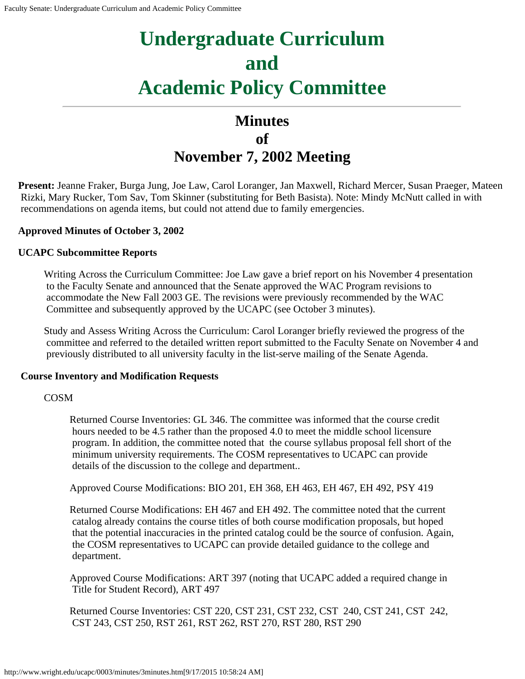# **Undergraduate Curriculum and Academic Policy Committee**

# **Minutes of November 7, 2002 Meeting**

**Present:** Jeanne Fraker, Burga Jung, Joe Law, Carol Loranger, Jan Maxwell, Richard Mercer, Susan Praeger, Mateen Rizki, Mary Rucker, Tom Sav, Tom Skinner (substituting for Beth Basista). Note: Mindy McNutt called in with recommendations on agenda items, but could not attend due to family emergencies.

### **Approved Minutes of October 3, 2002**

#### **UCAPC Subcommittee Reports**

Writing Across the Curriculum Committee: Joe Law gave a brief report on his November 4 presentation to the Faculty Senate and announced that the Senate approved the WAC Program revisions to accommodate the New Fall 2003 GE. The revisions were previously recommended by the WAC Committee and subsequently approved by the UCAPC (see October 3 minutes).

Study and Assess Writing Across the Curriculum: Carol Loranger briefly reviewed the progress of the committee and referred to the detailed written report submitted to the Faculty Senate on November 4 and previously distributed to all university faculty in the list-serve mailing of the Senate Agenda.

#### **Course Inventory and Modification Requests**

#### COSM

Returned Course Inventories: GL 346. The committee was informed that the course credit hours needed to be 4.5 rather than the proposed 4.0 to meet the middle school licensure program. In addition, the committee noted that the course syllabus proposal fell short of the minimum university requirements. The COSM representatives to UCAPC can provide details of the discussion to the college and department..

Approved Course Modifications: BIO 201, EH 368, EH 463, EH 467, EH 492, PSY 419

Returned Course Modifications: EH 467 and EH 492. The committee noted that the current catalog already contains the course titles of both course modification proposals, but hoped that the potential inaccuracies in the printed catalog could be the source of confusion. Again, the COSM representatives to UCAPC can provide detailed guidance to the college and department.

Approved Course Modifications: ART 397 (noting that UCAPC added a required change in Title for Student Record), ART 497

Returned Course Inventories: CST 220, CST 231, CST 232, CST 240, CST 241, CST 242, CST 243, CST 250, RST 261, RST 262, RST 270, RST 280, RST 290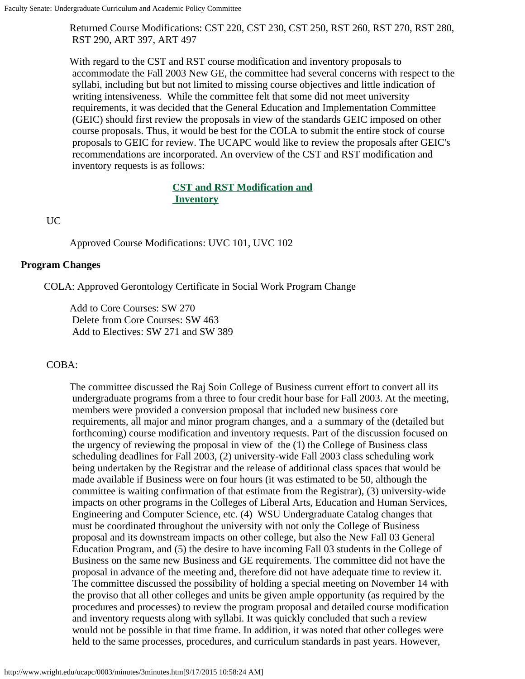Returned Course Modifications: CST 220, CST 230, CST 250, RST 260, RST 270, RST 280, RST 290, ART 397, ART 497

With regard to the CST and RST course modification and inventory proposals to accommodate the Fall 2003 New GE, the committee had several concerns with respect to the syllabi, including but but not limited to missing course objectives and little indication of writing intensiveness. While the committee felt that some did not meet university requirements, it was decided that the General Education and Implementation Committee (GEIC) should first review the proposals in view of the standards GEIC imposed on other course proposals. Thus, it would be best for the COLA to submit the entire stock of course proposals to GEIC for review. The UCAPC would like to review the proposals after GEIC's recommendations are incorporated. An overview of the CST and RST modification and inventory requests is as follows:

#### **[CST and RST Modification and](#page-4-0)  [Inventory](#page-4-0)**

UC

Approved Course Modifications: UVC 101, UVC 102

#### **Program Changes**

COLA: Approved Gerontology Certificate in Social Work Program Change

Add to Core Courses: SW 270 Delete from Core Courses: SW 463 Add to Electives: SW 271 and SW 389

### COBA:

The committee discussed the Raj Soin College of Business current effort to convert all its undergraduate programs from a three to four credit hour base for Fall 2003. At the meeting, members were provided a conversion proposal that included new business core requirements, all major and minor program changes, and a a summary of the (detailed but forthcoming) course modification and inventory requests. Part of the discussion focused on the urgency of reviewing the proposal in view of the (1) the College of Business class scheduling deadlines for Fall 2003, (2) university-wide Fall 2003 class scheduling work being undertaken by the Registrar and the release of additional class spaces that would be made available if Business were on four hours (it was estimated to be 50, although the committee is waiting confirmation of that estimate from the Registrar), (3) university-wide impacts on other programs in the Colleges of Liberal Arts, Education and Human Services, Engineering and Computer Science, etc. (4) WSU Undergraduate Catalog changes that must be coordinated throughout the university with not only the College of Business proposal and its downstream impacts on other college, but also the New Fall 03 General Education Program, and (5) the desire to have incoming Fall 03 students in the College of Business on the same new Business and GE requirements. The committee did not have the proposal in advance of the meeting and, therefore did not have adequate time to review it. The committee discussed the possibility of holding a special meeting on November 14 with the proviso that all other colleges and units be given ample opportunity (as required by the procedures and processes) to review the program proposal and detailed course modification and inventory requests along with syllabi. It was quickly concluded that such a review would not be possible in that time frame. In addition, it was noted that other colleges were held to the same processes, procedures, and curriculum standards in past years. However,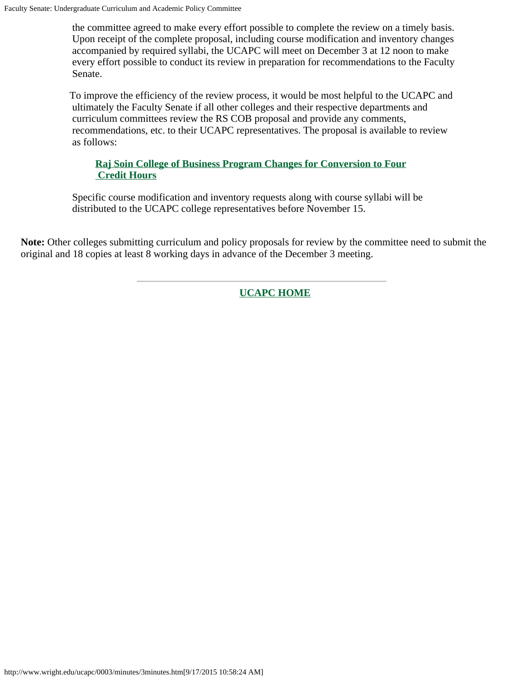the committee agreed to make every effort possible to complete the review on a timely basis. Upon receipt of the complete proposal, including course modification and inventory changes accompanied by required syllabi, the UCAPC will meet on December 3 at 12 noon to make every effort possible to conduct its review in preparation for recommendations to the Faculty Senate.

To improve the efficiency of the review process, it would be most helpful to the UCAPC and ultimately the Faculty Senate if all other colleges and their respective departments and curriculum committees review the RS COB proposal and provide any comments, recommendations, etc. to their UCAPC representatives. The proposal is available to review as follows:

### **[Raj Soin College of Business Program Changes for Conversion to Four](#page-5-0)  [Credit Hours](#page-5-0)**

Specific course modification and inventory requests along with course syllabi will be distributed to the UCAPC college representatives before November 15.

**Note:** Other colleges submitting curriculum and policy proposals for review by the committee need to submit the original and 18 copies at least 8 working days in advance of the December 3 meeting.

**[UCAPC HOME](http://www.wright.edu/ucapc/index.htm)**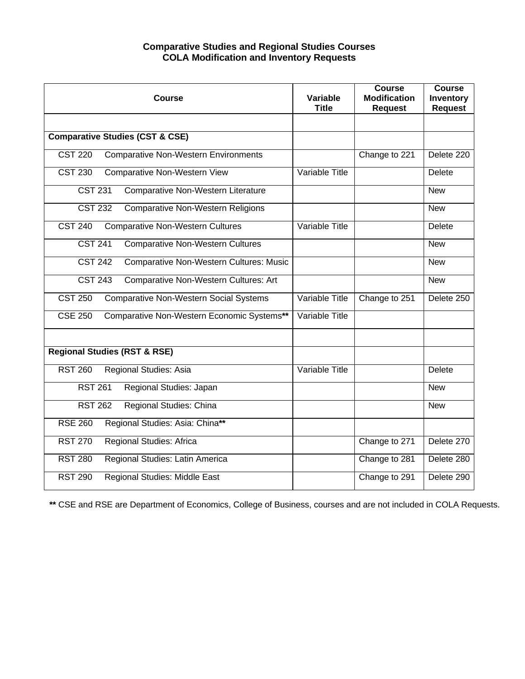#### **Comparative Studies and Regional Studies Courses COLA Modification and Inventory Requests**

<span id="page-4-0"></span>

| <b>Course</b>                                                    | Variable<br><b>Title</b> | <b>Course</b><br><b>Modification</b><br><b>Request</b> | <b>Course</b><br>Inventory<br><b>Request</b> |
|------------------------------------------------------------------|--------------------------|--------------------------------------------------------|----------------------------------------------|
| <b>Comparative Studies (CST &amp; CSE)</b>                       |                          |                                                        |                                              |
| <b>Comparative Non-Western Environments</b><br><b>CST 220</b>    |                          | Change to 221                                          | Delete 220                                   |
| <b>CST 230</b><br><b>Comparative Non-Western View</b>            | Variable Title           |                                                        | <b>Delete</b>                                |
| <b>CST 231</b><br>Comparative Non-Western Literature             |                          |                                                        | <b>New</b>                                   |
| <b>CST 232</b><br><b>Comparative Non-Western Religions</b>       |                          |                                                        | <b>New</b>                                   |
| <b>CST 240</b><br><b>Comparative Non-Western Cultures</b>        | Variable Title           |                                                        | Delete                                       |
| <b>CST 241</b><br><b>Comparative Non-Western Cultures</b>        |                          |                                                        | <b>New</b>                                   |
| <b>CST 242</b><br><b>Comparative Non-Western Cultures: Music</b> |                          |                                                        | <b>New</b>                                   |
| <b>Comparative Non-Western Cultures: Art</b><br><b>CST 243</b>   |                          |                                                        | <b>New</b>                                   |
| <b>CST 250</b><br><b>Comparative Non-Western Social Systems</b>  | Variable Title           | Change to 251                                          | Delete 250                                   |
| Comparative Non-Western Economic Systems**<br><b>CSE 250</b>     | Variable Title           |                                                        |                                              |
| <b>Regional Studies (RST &amp; RSE)</b>                          |                          |                                                        |                                              |
| Regional Studies: Asia<br><b>RST 260</b>                         | Variable Title           |                                                        | <b>Delete</b>                                |
| Regional Studies: Japan<br><b>RST 261</b>                        |                          |                                                        | <b>New</b>                                   |
| <b>RST 262</b><br>Regional Studies: China                        |                          |                                                        | <b>New</b>                                   |
| Regional Studies: Asia: China**<br><b>RSE 260</b>                |                          |                                                        |                                              |
| <b>RST 270</b><br>Regional Studies: Africa                       |                          | Change to 271                                          | Delete 270                                   |
| Regional Studies: Latin America<br><b>RST 280</b>                |                          | Change to 281                                          | Delete 280                                   |
| <b>RST 290</b><br>Regional Studies: Middle East                  |                          | Change to 291                                          | Delete 290                                   |

**\*\*** CSE and RSE are Department of Economics, College of Business, courses and are not included in COLA Requests.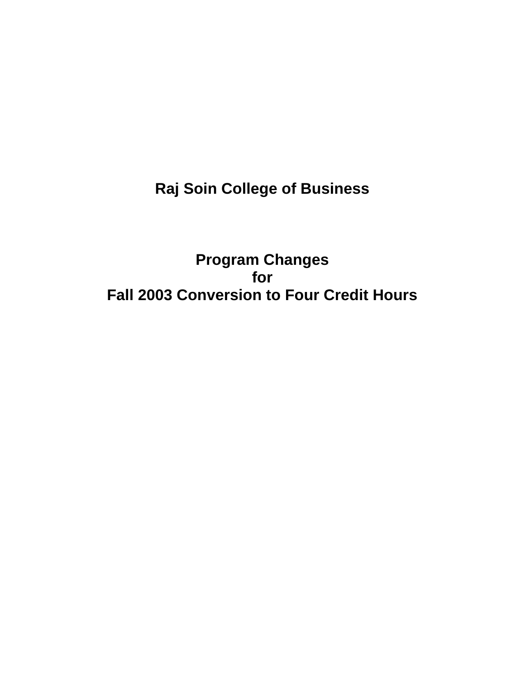<span id="page-5-0"></span>**Raj Soin College of Business**

**Program Changes for Fall 2003 Conversion to Four Credit Hours**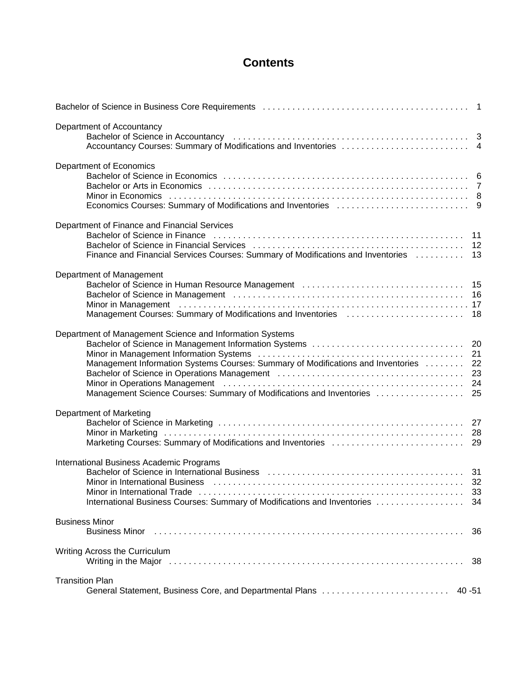### **Contents**

| Department of Accountancy<br>Bachelor of Science in Accountancy (and account of the contract of the contract of the science of 3                                                                                                                                                                                                                                                                                                                                                                                                                                                                               |                |
|----------------------------------------------------------------------------------------------------------------------------------------------------------------------------------------------------------------------------------------------------------------------------------------------------------------------------------------------------------------------------------------------------------------------------------------------------------------------------------------------------------------------------------------------------------------------------------------------------------------|----------------|
| Department of Economics                                                                                                                                                                                                                                                                                                                                                                                                                                                                                                                                                                                        |                |
| Department of Finance and Financial Services<br>Bachelor of Science in Finance (and accommodation of the contract of the finance of the finance of the state o<br>Finance and Financial Services Courses: Summary of Modifications and Inventories [1, 1, 1, 13]                                                                                                                                                                                                                                                                                                                                               |                |
| Department of Management<br>Bachelor of Science in Human Resource Management (and accommodation of Science in Human Resource Management (a<br>Bachelor of Science in Management (and accommodation of the contract of the science of Science in Management (b<br>Minor in Management (and account of the control of the control of the control of the control of the control of<br>Management Courses: Summary of Modifications and Inventories [1, 1, 1, 1, 1, 1, 1, 19] Management Courses: Summary of Modifications and Inventories [1, 18] Management Courses                                              |                |
| Department of Management Science and Information Systems<br>Bachelor of Science in Management Information Systems<br>Minor in Management Information Systems (and the content of the content of the manufacture of the manufacture<br>Management Information Systems Courses: Summary of Modifications and Inventories<br>Bachelor of Science in Operations Management (and the content of the content of the 23<br>Minor in Operations Management (and accommodation of the contract of the contract of the contract of the contr<br>Management Science Courses: Summary of Modifications and Inventories  25 | 20<br>21<br>22 |
| Department of Marketing                                                                                                                                                                                                                                                                                                                                                                                                                                                                                                                                                                                        |                |
| International Business Academic Programs<br>Bachelor of Science in International Business (and the content of the content of the 31<br>Minor in International Business (and accommodation of the contract of the state of the state of the state of t<br>Minor in International Trade (and accommodation of the contract of the contract of the Minor in International                                                                                                                                                                                                                                         | 33             |
| <b>Business Minor</b>                                                                                                                                                                                                                                                                                                                                                                                                                                                                                                                                                                                          | 36             |
| Writing Across the Curriculum                                                                                                                                                                                                                                                                                                                                                                                                                                                                                                                                                                                  |                |
| <b>Transition Plan</b><br>General Statement, Business Core, and Departmental Plans<br>40 - 51                                                                                                                                                                                                                                                                                                                                                                                                                                                                                                                  |                |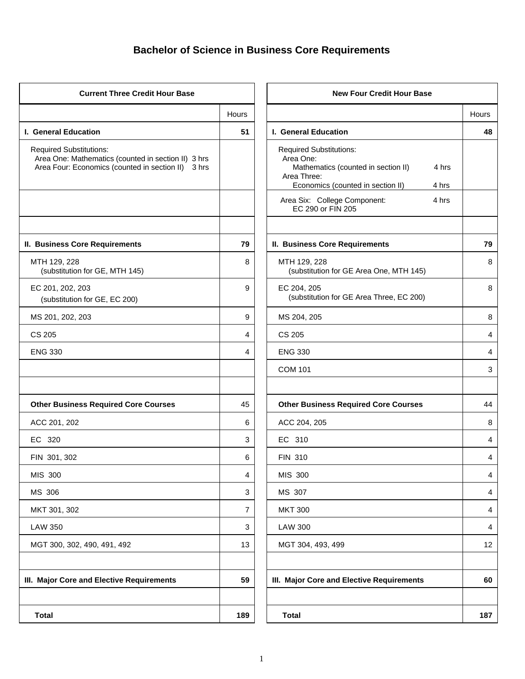# **Bachelor of Science in Business Core Requirements**

| <b>Current Three Credit Hour Base</b>                                                                                                       |                | <b>New Four Credit Hour Base</b>                                                                                                                         |       |
|---------------------------------------------------------------------------------------------------------------------------------------------|----------------|----------------------------------------------------------------------------------------------------------------------------------------------------------|-------|
|                                                                                                                                             | Hours          |                                                                                                                                                          | Hours |
| I. General Education                                                                                                                        | 51             | I. General Education                                                                                                                                     | 48    |
| <b>Required Substitutions:</b><br>Area One: Mathematics (counted in section II) 3 hrs<br>Area Four: Economics (counted in section II) 3 hrs |                | <b>Required Substitutions:</b><br>Area One:<br>Mathematics (counted in section II)<br>4 hrs<br>Area Three:<br>Economics (counted in section II)<br>4 hrs |       |
|                                                                                                                                             |                | Area Six: College Component:<br>4 hrs<br>EC 290 or FIN 205                                                                                               |       |
| II. Business Core Requirements                                                                                                              | 79             | II. Business Core Requirements                                                                                                                           | 79    |
| MTH 129, 228<br>(substitution for GE, MTH 145)                                                                                              | 8              | MTH 129, 228<br>(substitution for GE Area One, MTH 145)                                                                                                  | 8     |
| EC 201, 202, 203<br>(substitution for GE, EC 200)                                                                                           | 9              | EC 204, 205<br>(substitution for GE Area Three, EC 200)                                                                                                  | 8     |
| MS 201, 202, 203                                                                                                                            | 9              | MS 204, 205                                                                                                                                              | 8     |
| <b>CS 205</b>                                                                                                                               | 4              | <b>CS 205</b>                                                                                                                                            | 4     |
| <b>ENG 330</b>                                                                                                                              | 4              | <b>ENG 330</b>                                                                                                                                           | 4     |
|                                                                                                                                             |                | <b>COM 101</b>                                                                                                                                           | 3     |
| <b>Other Business Required Core Courses</b>                                                                                                 | 45             | <b>Other Business Required Core Courses</b>                                                                                                              | 44    |
| ACC 201, 202                                                                                                                                | 6              | ACC 204, 205                                                                                                                                             | 8     |
| EC 320                                                                                                                                      | 3              | EC 310                                                                                                                                                   | 4     |
| FIN 301, 302                                                                                                                                | 6              | <b>FIN 310</b>                                                                                                                                           | 4     |
| MIS 300                                                                                                                                     | 4              | MIS 300                                                                                                                                                  | 4     |
| MS 306                                                                                                                                      | 3              | MS 307                                                                                                                                                   | 4     |
| MKT 301, 302                                                                                                                                | $\overline{7}$ | <b>MKT 300</b>                                                                                                                                           | 4     |
| <b>LAW 350</b>                                                                                                                              | $\mathbf{3}$   | <b>LAW 300</b>                                                                                                                                           | 4     |
| MGT 300, 302, 490, 491, 492                                                                                                                 | 13             | MGT 304, 493, 499                                                                                                                                        | 12    |
| III. Major Core and Elective Requirements                                                                                                   | 59             | III. Major Core and Elective Requirements                                                                                                                | 60    |
| <b>Total</b>                                                                                                                                | 189            | <b>Total</b>                                                                                                                                             | 187   |

|                | <b>New Four Credit Hour Base</b>                                                                                                                         |       |
|----------------|----------------------------------------------------------------------------------------------------------------------------------------------------------|-------|
| Hours          |                                                                                                                                                          | Hours |
| 51             | I. General Education                                                                                                                                     | 48    |
|                | <b>Required Substitutions:</b><br>Area One:<br>Mathematics (counted in section II)<br>4 hrs<br>Area Three:<br>Economics (counted in section II)<br>4 hrs |       |
|                | 4 hrs<br>Area Six: College Component:<br>EC 290 or FIN 205                                                                                               |       |
| 79             | II. Business Core Requirements                                                                                                                           | 79    |
| 8              | MTH 129, 228<br>(substitution for GE Area One, MTH 145)                                                                                                  | 8     |
| 9              | EC 204, 205<br>(substitution for GE Area Three, EC 200)                                                                                                  | 8     |
| 9              | MS 204, 205                                                                                                                                              | 8     |
| 4              | CS 205                                                                                                                                                   | 4     |
| 4              | <b>ENG 330</b>                                                                                                                                           | 4     |
|                | <b>COM 101</b>                                                                                                                                           | 3     |
|                |                                                                                                                                                          |       |
| 45             | <b>Other Business Required Core Courses</b>                                                                                                              | 44    |
| 6              | ACC 204, 205                                                                                                                                             | 8     |
| 3              | EC 310                                                                                                                                                   | 4     |
| 6              | <b>FIN 310</b>                                                                                                                                           | 4     |
| 4              | MIS 300                                                                                                                                                  | 4     |
| 3              | MS 307                                                                                                                                                   | 4     |
| $\overline{7}$ | <b>MKT 300</b>                                                                                                                                           | 4     |
| 3              | <b>LAW 300</b>                                                                                                                                           | 4     |
| 13             | MGT 304, 493, 499                                                                                                                                        | 12    |
|                |                                                                                                                                                          |       |
| 59             | III. Major Core and Elective Requirements                                                                                                                | 60    |
|                |                                                                                                                                                          |       |
| 189            | <b>Total</b>                                                                                                                                             | 187   |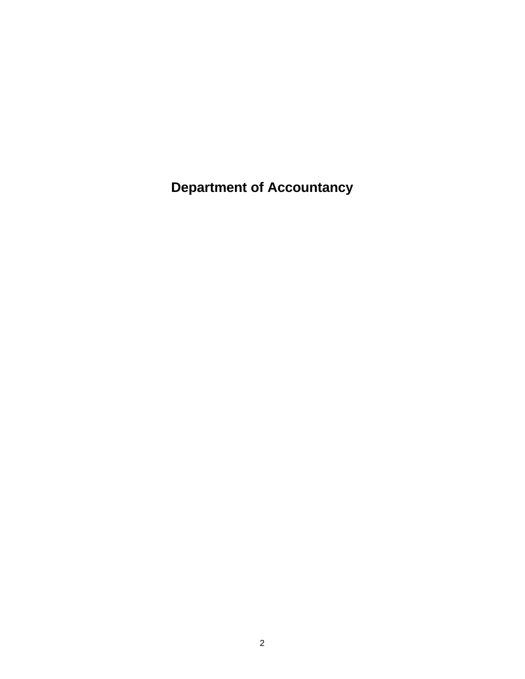**Department of Accountancy**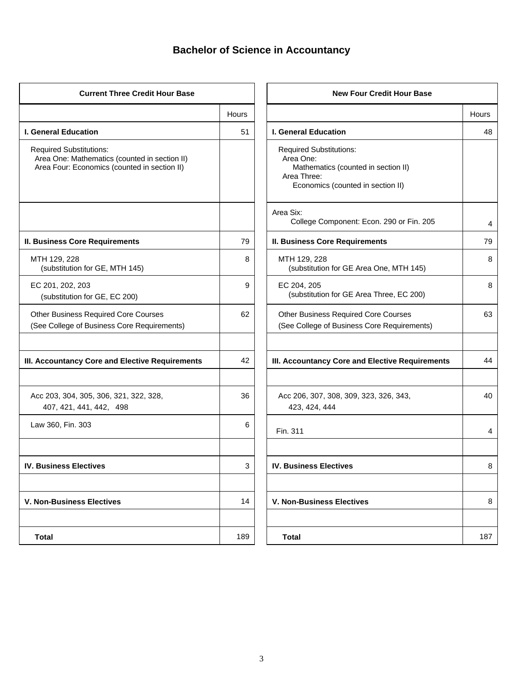### **Bachelor of Science in Accountancy**

| <b>Current Three Credit Hour Base</b>                                                                                           |              | <b>New Four Credit Hour Base</b>                                                                                                       |       |
|---------------------------------------------------------------------------------------------------------------------------------|--------------|----------------------------------------------------------------------------------------------------------------------------------------|-------|
|                                                                                                                                 | <b>Hours</b> |                                                                                                                                        | Hours |
| <b>I. General Education</b>                                                                                                     | 51           | <b>I. General Education</b>                                                                                                            | 48    |
| <b>Required Substitutions:</b><br>Area One: Mathematics (counted in section II)<br>Area Four: Economics (counted in section II) |              | <b>Required Substitutions:</b><br>Area One:<br>Mathematics (counted in section II)<br>Area Three:<br>Economics (counted in section II) |       |
|                                                                                                                                 |              | Area Six:<br>College Component: Econ. 290 or Fin. 205                                                                                  | 4     |
| <b>II. Business Core Requirements</b>                                                                                           | 79           | <b>II. Business Core Requirements</b>                                                                                                  | 79    |
| MTH 129, 228<br>(substitution for GE, MTH 145)                                                                                  | 8            | MTH 129, 228<br>(substitution for GE Area One, MTH 145)                                                                                | 8     |
| EC 201, 202, 203<br>(substitution for GE, EC 200)                                                                               | 9            | EC 204, 205<br>(substitution for GE Area Three, EC 200)                                                                                | 8     |
| <b>Other Business Required Core Courses</b><br>(See College of Business Core Requirements)                                      | 62           | <b>Other Business Required Core Courses</b><br>(See College of Business Core Requirements)                                             | 63    |
| III. Accountancy Core and Elective Requirements                                                                                 | 42           | III. Accountancy Core and Elective Requirements                                                                                        | 44    |
| Acc 203, 304, 305, 306, 321, 322, 328,<br>407, 421, 441, 442, 498                                                               | 36           | Acc 206, 307, 308, 309, 323, 326, 343,<br>423, 424, 444                                                                                | 40    |
| Law 360, Fin. 303                                                                                                               | 6            | Fin. 311                                                                                                                               | 4     |
| <b>IV. Business Electives</b>                                                                                                   | 3            | <b>IV. Business Electives</b>                                                                                                          | 8     |
| <b>V. Non-Business Electives</b>                                                                                                | 14           | <b>V. Non-Business Electives</b>                                                                                                       | 8     |
| <b>Total</b>                                                                                                                    | 189          | <b>Total</b>                                                                                                                           | 187   |

|       | <b>New Four Credit Hour Base</b>                                                                                                       |       |
|-------|----------------------------------------------------------------------------------------------------------------------------------------|-------|
| Hours |                                                                                                                                        | Hours |
| 51    | I. General Education                                                                                                                   | 48    |
|       | <b>Required Substitutions:</b><br>Area One:<br>Mathematics (counted in section II)<br>Area Three:<br>Economics (counted in section II) |       |
|       | Area Six:<br>College Component: Econ. 290 or Fin. 205                                                                                  | 4     |
| 79    | <b>II. Business Core Requirements</b>                                                                                                  | 79    |
| 8     | MTH 129, 228<br>(substitution for GE Area One, MTH 145)                                                                                | 8     |
| 9     | EC 204, 205<br>(substitution for GE Area Three, EC 200)                                                                                | 8     |
| 62    | <b>Other Business Required Core Courses</b><br>(See College of Business Core Requirements)                                             | 63    |
|       |                                                                                                                                        |       |
| 42    | III. Accountancy Core and Elective Requirements                                                                                        | 44    |
|       |                                                                                                                                        |       |
| 36    | Acc 206, 307, 308, 309, 323, 326, 343,<br>423, 424, 444                                                                                | 40    |
| 6     | Fin. 311                                                                                                                               | 4     |
|       |                                                                                                                                        |       |
| 3     | <b>IV. Business Electives</b>                                                                                                          | 8     |
|       |                                                                                                                                        |       |
| 14    | <b>V. Non-Business Electives</b>                                                                                                       | 8     |
|       |                                                                                                                                        |       |
| 189   | <b>Total</b>                                                                                                                           | 187   |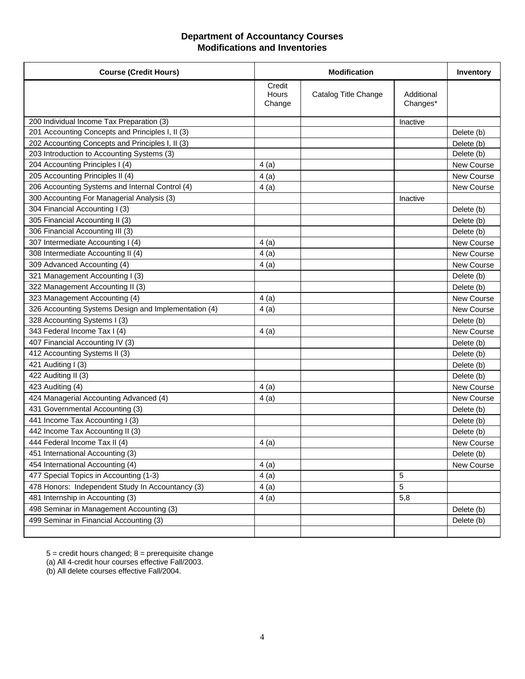#### **Department of Accountancy Courses Modifications and Inventories**

| <b>Course (Credit Hours)</b>                         |                           | <b>Modification</b>  |                        | Inventory         |
|------------------------------------------------------|---------------------------|----------------------|------------------------|-------------------|
|                                                      | Credit<br>Hours<br>Change | Catalog Title Change | Additional<br>Changes* |                   |
| 200 Individual Income Tax Preparation (3)            |                           |                      | Inactive               |                   |
| 201 Accounting Concepts and Principles I, II (3)     |                           |                      |                        | Delete (b)        |
| 202 Accounting Concepts and Principles I, II (3)     |                           |                      |                        | Delete (b)        |
| 203 Introduction to Accounting Systems (3)           |                           |                      |                        | Delete (b)        |
| 204 Accounting Principles I (4)                      | 4(a)                      |                      |                        | New Course        |
| 205 Accounting Principles II (4)                     | 4(a)                      |                      |                        | New Course        |
| 206 Accounting Systems and Internal Control (4)      | 4(a)                      |                      |                        | New Course        |
| 300 Accounting For Managerial Analysis (3)           |                           |                      | Inactive               |                   |
| 304 Financial Accounting I (3)                       |                           |                      |                        | Delete (b)        |
| 305 Financial Accounting II (3)                      |                           |                      |                        | Delete (b)        |
| 306 Financial Accounting III (3)                     |                           |                      |                        | Delete (b)        |
| 307 Intermediate Accounting I (4)                    | 4(a)                      |                      |                        | New Course        |
| 308 Intermediate Accounting II (4)                   | 4(a)                      |                      |                        | New Course        |
| 309 Advanced Accounting (4)                          | 4 (a)                     |                      |                        | <b>New Course</b> |
| 321 Management Accounting I (3)                      |                           |                      |                        | Delete (b)        |
| 322 Management Accounting II (3)                     |                           |                      |                        | Delete (b)        |
| 323 Management Accounting (4)                        | 4(a)                      |                      |                        | <b>New Course</b> |
| 326 Accounting Systems Design and Implementation (4) | 4(a)                      |                      |                        | New Course        |
| 328 Accounting Systems I (3)                         |                           |                      |                        | Delete (b)        |
| 343 Federal Income Tax I (4)                         | 4(a)                      |                      |                        | New Course        |
| 407 Financial Accounting IV (3)                      |                           |                      |                        | Delete (b)        |
| 412 Accounting Systems II (3)                        |                           |                      |                        | Delete (b)        |
| 421 Auditing I (3)                                   |                           |                      |                        | Delete (b)        |
| 422 Auditing II (3)                                  |                           |                      |                        | Delete (b)        |
| 423 Auditing (4)                                     | 4(a)                      |                      |                        | New Course        |
| 424 Managerial Accounting Advanced (4)               | 4(a)                      |                      |                        | New Course        |
| 431 Governmental Accounting (3)                      |                           |                      |                        | Delete (b)        |
| 441 Income Tax Accounting I (3)                      |                           |                      |                        | Delete (b)        |
| 442 Income Tax Accounting II (3)                     |                           |                      |                        | Delete (b)        |
| 444 Federal Income Tax II (4)                        | 4(a)                      |                      |                        | New Course        |
| 451 International Accounting (3)                     |                           |                      |                        | Delete (b)        |
| 454 International Accounting (4)                     | 4(a)                      |                      |                        | New Course        |
| 477 Special Topics in Accounting (1-3)               | 4(a)                      |                      | 5                      |                   |
| 478 Honors: Independent Study In Accountancy (3)     | 4(a)                      |                      | 5                      |                   |
| 481 Internship in Accounting (3)                     | 4(a)                      |                      | 5,8                    |                   |
| 498 Seminar in Management Accounting (3)             |                           |                      |                        | Delete (b)        |
| 499 Seminar in Financial Accounting (3)              |                           |                      |                        | Delete (b)        |
|                                                      |                           |                      |                        |                   |

5 = credit hours changed; 8 = prerequisite change

(a) All 4-credit hour courses effective Fall/2003.

(b) All delete courses effective Fall/2004.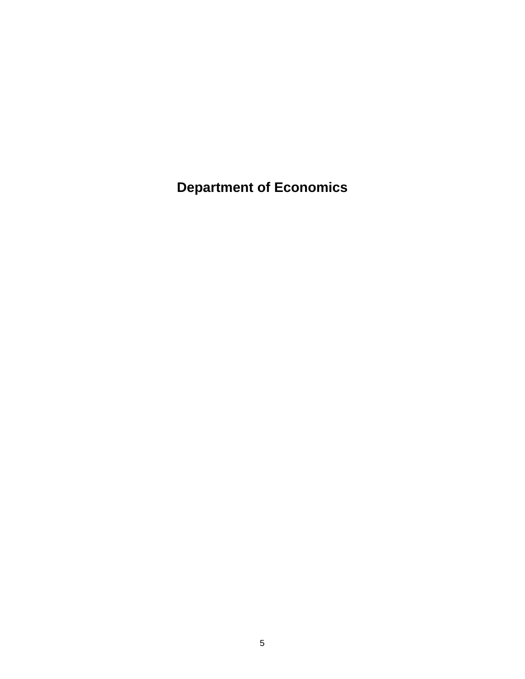**Department of Economics**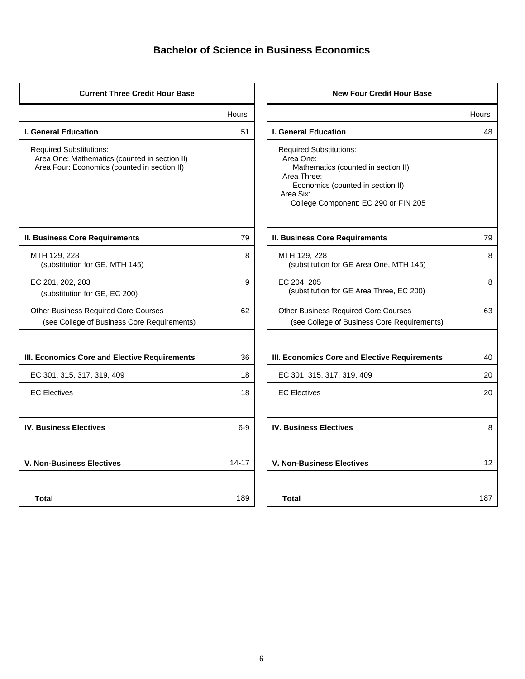### **Bachelor of Science in Business Economics**

| <b>Current Three Credit Hour Base</b>                                                                                           |           | <b>New Four Credit Hour Base</b>                                                                                                                                                            |       |
|---------------------------------------------------------------------------------------------------------------------------------|-----------|---------------------------------------------------------------------------------------------------------------------------------------------------------------------------------------------|-------|
|                                                                                                                                 | Hours     |                                                                                                                                                                                             | Hours |
| <b>I. General Education</b>                                                                                                     | 51        | <b>I. General Education</b>                                                                                                                                                                 | 48    |
| <b>Required Substitutions:</b><br>Area One: Mathematics (counted in section II)<br>Area Four: Economics (counted in section II) |           | <b>Required Substitutions:</b><br>Area One:<br>Mathematics (counted in section II)<br>Area Three:<br>Economics (counted in section II)<br>Area Six:<br>College Component: EC 290 or FIN 205 |       |
| <b>II. Business Core Requirements</b>                                                                                           | 79        | <b>II. Business Core Requirements</b>                                                                                                                                                       | 79    |
| MTH 129, 228<br>(substitution for GE, MTH 145)                                                                                  | 8         | MTH 129, 228<br>(substitution for GE Area One, MTH 145)                                                                                                                                     | 8     |
| EC 201, 202, 203<br>(substitution for GE, EC 200)                                                                               | 9         | EC 204, 205<br>(substitution for GE Area Three, EC 200)                                                                                                                                     | 8     |
| <b>Other Business Required Core Courses</b><br>(see College of Business Core Requirements)                                      | 62        | <b>Other Business Required Core Courses</b><br>(see College of Business Core Requirements)                                                                                                  | 63    |
| III. Economics Core and Elective Requirements                                                                                   | 36        | III. Economics Core and Elective Requirements                                                                                                                                               | 40    |
| EC 301, 315, 317, 319, 409                                                                                                      | 18        | EC 301, 315, 317, 319, 409                                                                                                                                                                  | 20    |
| <b>EC Electives</b>                                                                                                             | 18        | <b>EC Electives</b>                                                                                                                                                                         | 20    |
| <b>IV. Business Electives</b>                                                                                                   | $6-9$     | <b>IV. Business Electives</b>                                                                                                                                                               | 8     |
| <b>V. Non-Business Electives</b>                                                                                                | $14 - 17$ | <b>V. Non-Business Electives</b>                                                                                                                                                            | 12    |
| Total                                                                                                                           | 189       | <b>Total</b>                                                                                                                                                                                | 187   |

|       | <b>New Four Credit Hour Base</b>                                                                                                                                                            |       |
|-------|---------------------------------------------------------------------------------------------------------------------------------------------------------------------------------------------|-------|
| Hours |                                                                                                                                                                                             | Hours |
| 51    | <b>I. General Education</b>                                                                                                                                                                 | 48    |
|       | <b>Required Substitutions:</b><br>Area One:<br>Mathematics (counted in section II)<br>Area Three:<br>Economics (counted in section II)<br>Area Six:<br>College Component: EC 290 or FIN 205 |       |
| 79    | <b>II. Business Core Requirements</b>                                                                                                                                                       | 79    |
| 8     | MTH 129, 228<br>(substitution for GE Area One, MTH 145)                                                                                                                                     | 8     |
| 9     | EC 204, 205<br>(substitution for GE Area Three, EC 200)                                                                                                                                     | 8     |
| 62    | <b>Other Business Required Core Courses</b><br>(see College of Business Core Requirements)                                                                                                  | 63    |
| 36    | III. Economics Core and Elective Requirements                                                                                                                                               | 40    |
| 18    | EC 301, 315, 317, 319, 409                                                                                                                                                                  | 20    |
| 18    | <b>EC Electives</b>                                                                                                                                                                         | 20    |
| 6-9   | <b>IV. Business Electives</b>                                                                                                                                                               | 8     |
| 14-17 | <b>V. Non-Business Electives</b>                                                                                                                                                            | 12    |
| 189   | <b>Total</b>                                                                                                                                                                                | 187   |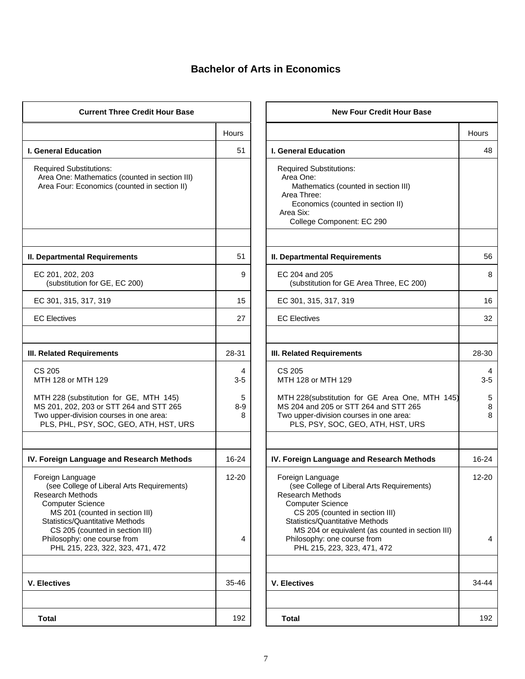# **Bachelor of Arts in Economics**

| <b>Current Three Credit Hour Base</b>                                                                                                                                                                                                                                                            |                               | <b>New Four Credit Hour Base</b>                                                                                                                                                                                                                                                                     |
|--------------------------------------------------------------------------------------------------------------------------------------------------------------------------------------------------------------------------------------------------------------------------------------------------|-------------------------------|------------------------------------------------------------------------------------------------------------------------------------------------------------------------------------------------------------------------------------------------------------------------------------------------------|
|                                                                                                                                                                                                                                                                                                  | Hours                         |                                                                                                                                                                                                                                                                                                      |
| I. General Education                                                                                                                                                                                                                                                                             | 51                            | <b>I. General Education</b>                                                                                                                                                                                                                                                                          |
| <b>Required Substitutions:</b><br>Area One: Mathematics (counted in section III)<br>Area Four: Economics (counted in section II)                                                                                                                                                                 |                               | <b>Required Substitutions:</b><br>Area One:<br>Mathematics (counted in section III)<br>Area Three:<br>Economics (counted in section II)<br>Area Six:<br>College Component: EC 290                                                                                                                    |
| II. Departmental Requirements                                                                                                                                                                                                                                                                    | 51                            | II. Departmental Requirements                                                                                                                                                                                                                                                                        |
| EC 201, 202, 203<br>(substitution for GE, EC 200)                                                                                                                                                                                                                                                | 9                             | EC 204 and 205<br>(substitution for GE Area Three, EC 200)                                                                                                                                                                                                                                           |
| EC 301, 315, 317, 319                                                                                                                                                                                                                                                                            | 15                            | EC 301, 315, 317, 319                                                                                                                                                                                                                                                                                |
| <b>EC Electives</b>                                                                                                                                                                                                                                                                              | 27                            | <b>EC Electives</b>                                                                                                                                                                                                                                                                                  |
| <b>III. Related Requirements</b>                                                                                                                                                                                                                                                                 | 28-31                         | <b>III. Related Requirements</b>                                                                                                                                                                                                                                                                     |
| CS 205<br>MTH 128 or MTH 129<br>MTH 228 (substitution for GE, MTH 145)<br>MS 201, 202, 203 or STT 264 and STT 265<br>Two upper-division courses in one area:<br>PLS, PHL, PSY, SOC, GEO, ATH, HST, URS                                                                                           | 4<br>3-5<br>5<br>$8 - 9$<br>8 | CS 205<br>MTH 128 or MTH 129<br>MTH 228(substitution for GE Area One, M<br>MS 204 and 205 or STT 264 and STT 265<br>Two upper-division courses in one area:<br>PLS, PSY, SOC, GEO, ATH, HST, URS                                                                                                     |
| IV. Foreign Language and Research Methods                                                                                                                                                                                                                                                        | 16-24                         | IV. Foreign Language and Research Method                                                                                                                                                                                                                                                             |
| Foreign Language<br>(see College of Liberal Arts Requirements)<br><b>Research Methods</b><br><b>Computer Science</b><br>MS 201 (counted in section III)<br>Statistics/Quantitative Methods<br>CS 205 (counted in section III)<br>Philosophy: one course from<br>PHL 215, 223, 322, 323, 471, 472 | $12 - 20$<br>4                | Foreign Language<br>(see College of Liberal Arts Requirements)<br><b>Research Methods</b><br><b>Computer Science</b><br>CS 205 (counted in section III)<br>Statistics/Quantitative Methods<br>MS 204 or equivalent (as counted in sect<br>Philosophy: one course from<br>PHL 215, 223, 323, 471, 472 |
| <b>V. Electives</b>                                                                                                                                                                                                                                                                              | 35-46                         | <b>V. Electives</b>                                                                                                                                                                                                                                                                                  |
| <b>Total</b>                                                                                                                                                                                                                                                                                     | 192                           | <b>Total</b>                                                                                                                                                                                                                                                                                         |

| <b>Current Three Credit Hour Base</b>                                                                                                                                                                                                                                                            |                 | <b>New Four Credit Hour Base</b>                                                                                                                                                                                                                                                                             |                |
|--------------------------------------------------------------------------------------------------------------------------------------------------------------------------------------------------------------------------------------------------------------------------------------------------|-----------------|--------------------------------------------------------------------------------------------------------------------------------------------------------------------------------------------------------------------------------------------------------------------------------------------------------------|----------------|
|                                                                                                                                                                                                                                                                                                  | Hours           |                                                                                                                                                                                                                                                                                                              | Hours          |
| <b>I. General Education</b>                                                                                                                                                                                                                                                                      | 51              | I. General Education                                                                                                                                                                                                                                                                                         | 48             |
| <b>Required Substitutions:</b><br>Area One: Mathematics (counted in section III)<br>Area Four: Economics (counted in section II)                                                                                                                                                                 |                 | <b>Required Substitutions:</b><br>Area One:<br>Mathematics (counted in section III)<br>Area Three:<br>Economics (counted in section II)<br>Area Six:<br>College Component: EC 290                                                                                                                            |                |
| II. Departmental Requirements                                                                                                                                                                                                                                                                    | 51              | II. Departmental Requirements                                                                                                                                                                                                                                                                                | 56             |
| EC 201, 202, 203<br>(substitution for GE, EC 200)                                                                                                                                                                                                                                                | 9               | EC 204 and 205<br>(substitution for GE Area Three, EC 200)                                                                                                                                                                                                                                                   | 8              |
| EC 301, 315, 317, 319                                                                                                                                                                                                                                                                            | 15              | EC 301, 315, 317, 319                                                                                                                                                                                                                                                                                        | 16             |
| <b>EC Electives</b>                                                                                                                                                                                                                                                                              | 27              | <b>EC Electives</b>                                                                                                                                                                                                                                                                                          | 32             |
|                                                                                                                                                                                                                                                                                                  |                 |                                                                                                                                                                                                                                                                                                              |                |
| <b>III. Related Requirements</b>                                                                                                                                                                                                                                                                 | 28-31           | <b>III. Related Requirements</b>                                                                                                                                                                                                                                                                             | 28-30          |
| CS 205<br>MTH 128 or MTH 129                                                                                                                                                                                                                                                                     | 4<br>$3 - 5$    | CS 205<br>MTH 128 or MTH 129                                                                                                                                                                                                                                                                                 | 4<br>$3 - 5$   |
| MTH 228 (substitution for GE, MTH 145)<br>MS 201, 202, 203 or STT 264 and STT 265<br>Two upper-division courses in one area:<br>PLS, PHL, PSY, SOC, GEO, ATH, HST, URS                                                                                                                           | 5<br>$8-9$<br>8 | MTH 228(substitution for GE Area One, MTH 145)<br>MS 204 and 205 or STT 264 and STT 265<br>Two upper-division courses in one area:<br>PLS, PSY, SOC, GEO, ATH, HST, URS                                                                                                                                      | 5<br>8<br>8    |
|                                                                                                                                                                                                                                                                                                  |                 |                                                                                                                                                                                                                                                                                                              |                |
| IV. Foreign Language and Research Methods                                                                                                                                                                                                                                                        | 16-24           | IV. Foreign Language and Research Methods                                                                                                                                                                                                                                                                    | 16-24          |
| Foreign Language<br>(see College of Liberal Arts Requirements)<br><b>Research Methods</b><br><b>Computer Science</b><br>MS 201 (counted in section III)<br>Statistics/Quantitative Methods<br>CS 205 (counted in section III)<br>Philosophy: one course from<br>PHL 215, 223, 322, 323, 471, 472 | 12-20<br>4      | Foreign Language<br>(see College of Liberal Arts Requirements)<br><b>Research Methods</b><br><b>Computer Science</b><br>CS 205 (counted in section III)<br>Statistics/Quantitative Methods<br>MS 204 or equivalent (as counted in section III)<br>Philosophy: one course from<br>PHL 215, 223, 323, 471, 472 | $12 - 20$<br>4 |
| V. Electives                                                                                                                                                                                                                                                                                     | 35-46           | <b>V. Electives</b>                                                                                                                                                                                                                                                                                          | 34-44          |
|                                                                                                                                                                                                                                                                                                  |                 |                                                                                                                                                                                                                                                                                                              |                |
| <b>Total</b>                                                                                                                                                                                                                                                                                     | 192             | <b>Total</b>                                                                                                                                                                                                                                                                                                 | 192            |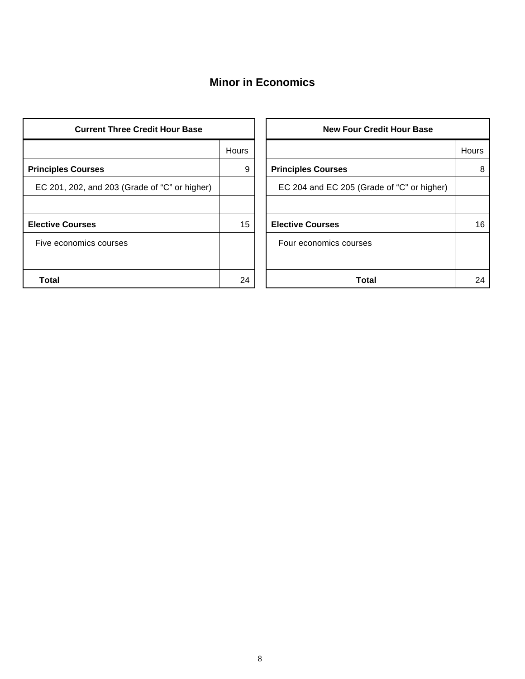### **Minor in Economics**

| <b>Current Three Credit Hour Base</b>         |              | <b>New Four Credit Hour Base</b>           |       |
|-----------------------------------------------|--------------|--------------------------------------------|-------|
|                                               | <b>Hours</b> |                                            | Hours |
| <b>Principles Courses</b>                     | 9            | <b>Principles Courses</b>                  | 8     |
| EC 201, 202, and 203 (Grade of "C" or higher) |              | EC 204 and EC 205 (Grade of "C" or higher) |       |
|                                               |              |                                            |       |
| <b>Elective Courses</b>                       | 15           | <b>Elective Courses</b>                    | 16    |
| Five economics courses                        |              | Four economics courses                     |       |
|                                               |              |                                            |       |
| <b>Total</b>                                  | 24           | Total                                      | 24    |

|       | <b>New Four Credit Hour Base</b>           |       |  |  |  |  |
|-------|--------------------------------------------|-------|--|--|--|--|
| Hours |                                            | Hours |  |  |  |  |
| 9     | <b>Principles Courses</b>                  | 8     |  |  |  |  |
|       | EC 204 and EC 205 (Grade of "C" or higher) |       |  |  |  |  |
|       |                                            |       |  |  |  |  |
| 15    | <b>Elective Courses</b>                    | 16    |  |  |  |  |
|       | Four economics courses                     |       |  |  |  |  |
|       |                                            |       |  |  |  |  |
| 24    | Total                                      | 24    |  |  |  |  |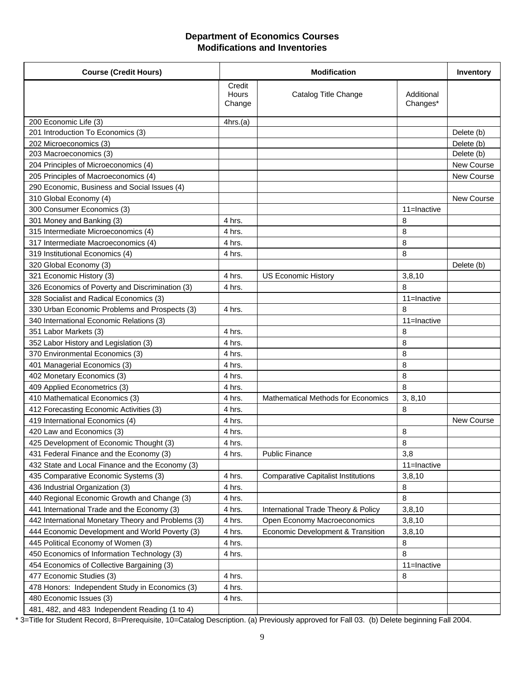#### **Department of Economics Courses Modifications and Inventories**

| <b>Course (Credit Hours)</b>                       |                           | <b>Modification</b>                        |                        | <b>Inventory</b>  |
|----------------------------------------------------|---------------------------|--------------------------------------------|------------------------|-------------------|
|                                                    | Credit<br>Hours<br>Change | Catalog Title Change                       | Additional<br>Changes* |                   |
| 200 Economic Life (3)                              | 4hrs.(a)                  |                                            |                        |                   |
| 201 Introduction To Economics (3)                  |                           |                                            |                        | Delete (b)        |
| 202 Microeconomics (3)                             |                           |                                            |                        | Delete (b)        |
| 203 Macroeconomics (3)                             |                           |                                            |                        | Delete (b)        |
| 204 Principles of Microeconomics (4)               |                           |                                            |                        | <b>New Course</b> |
| 205 Principles of Macroeconomics (4)               |                           |                                            |                        | New Course        |
| 290 Economic, Business and Social Issues (4)       |                           |                                            |                        |                   |
| 310 Global Economy (4)                             |                           |                                            |                        | New Course        |
| 300 Consumer Economics (3)                         |                           |                                            | 11=Inactive            |                   |
| 301 Money and Banking (3)                          | 4 hrs.                    |                                            | 8                      |                   |
| 315 Intermediate Microeconomics (4)                | 4 hrs.                    |                                            | 8                      |                   |
| 317 Intermediate Macroeconomics (4)                | 4 hrs.                    |                                            | 8                      |                   |
| 319 Institutional Economics (4)                    | 4 hrs.                    |                                            | 8                      |                   |
| 320 Global Economy (3)                             |                           |                                            |                        | Delete (b)        |
| 321 Economic History (3)                           | 4 hrs.                    | <b>US Economic History</b>                 | 3,8,10                 |                   |
| 326 Economics of Poverty and Discrimination (3)    | 4 hrs.                    |                                            | 8                      |                   |
| 328 Socialist and Radical Economics (3)            |                           |                                            | 11=Inactive            |                   |
| 330 Urban Economic Problems and Prospects (3)      | 4 hrs.                    |                                            | 8                      |                   |
| 340 International Economic Relations (3)           |                           |                                            | 11=Inactive            |                   |
| 351 Labor Markets (3)                              | 4 hrs.                    |                                            | 8                      |                   |
| 352 Labor History and Legislation (3)              | 4 hrs.                    |                                            | 8                      |                   |
| 370 Environmental Economics (3)                    | 4 hrs.                    |                                            | 8                      |                   |
| 401 Managerial Economics (3)                       | 4 hrs.                    |                                            | 8                      |                   |
| 402 Monetary Economics (3)                         | 4 hrs.                    |                                            | 8                      |                   |
| 409 Applied Econometrics (3)                       | 4 hrs.                    |                                            | 8                      |                   |
| 410 Mathematical Economics (3)                     | 4 hrs.                    | Mathematical Methods for Economics         | 3, 8, 10               |                   |
| 412 Forecasting Economic Activities (3)            | 4 hrs.                    |                                            | 8                      |                   |
| 419 International Economics (4)                    | 4 hrs.                    |                                            |                        | New Course        |
| 420 Law and Economics (3)                          | 4 hrs.                    |                                            | 8                      |                   |
| 425 Development of Economic Thought (3)            | 4 hrs.                    |                                            | 8                      |                   |
| 431 Federal Finance and the Economy (3)            | 4 hrs.                    | <b>Public Finance</b>                      | 3,8                    |                   |
| 432 State and Local Finance and the Economy (3)    |                           |                                            | 11=Inactive            |                   |
| 435 Comparative Economic Systems (3)               | 4 hrs.                    | <b>Comparative Capitalist Institutions</b> | 3,8,10                 |                   |
| 436 Industrial Organization (3)                    | 4 hrs.                    |                                            | 8                      |                   |
| 440 Regional Economic Growth and Change (3)        | 4 hrs.                    |                                            | 8                      |                   |
| 441 International Trade and the Economy (3)        | 4 hrs.                    | International Trade Theory & Policy        | 3,8,10                 |                   |
| 442 International Monetary Theory and Problems (3) | 4 hrs.                    | Open Economy Macroeconomics                | 3,8,10                 |                   |
| 444 Economic Development and World Poverty (3)     | 4 hrs.                    | Economic Development & Transition          | 3,8,10                 |                   |
| 445 Political Economy of Women (3)                 | 4 hrs.                    |                                            | 8                      |                   |
| 450 Economics of Information Technology (3)        | 4 hrs.                    |                                            | 8                      |                   |
| 454 Economics of Collective Bargaining (3)         |                           |                                            | 11=Inactive            |                   |
| 477 Economic Studies (3)                           | 4 hrs.                    |                                            | 8                      |                   |
| 478 Honors: Independent Study in Economics (3)     | 4 hrs.                    |                                            |                        |                   |
| 480 Economic Issues (3)                            | 4 hrs.                    |                                            |                        |                   |
| 481, 482, and 483 Independent Reading (1 to 4)     |                           |                                            |                        |                   |

\* 3=Title for Student Record, 8=Prerequisite, 10=Catalog Description. (a) Previously approved for Fall 03. (b) Delete beginning Fall 2004.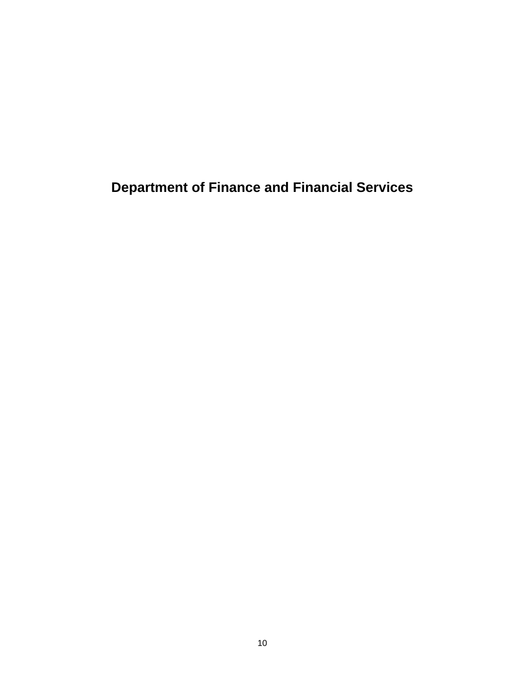**Department of Finance and Financial Services**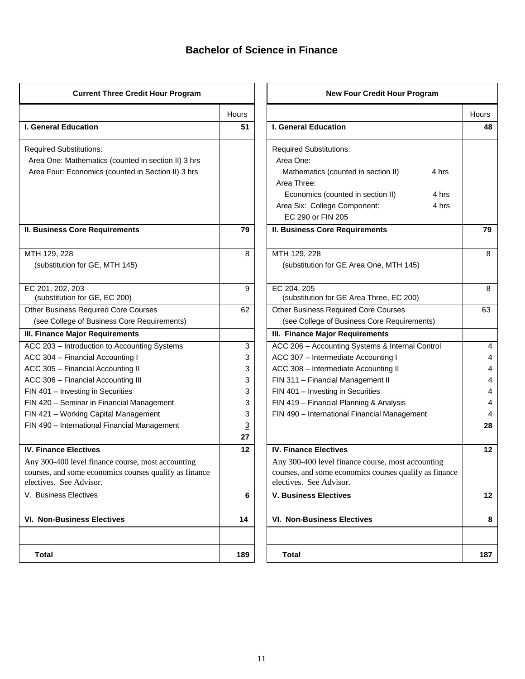### **Bachelor of Science in Finance**

| <b>Current Three Credit Hour Program</b>               |                | <b>New Four Credit Hour Program</b>                    |              |
|--------------------------------------------------------|----------------|--------------------------------------------------------|--------------|
|                                                        | <b>Hours</b>   |                                                        | <b>Hours</b> |
| <b>I. General Education</b>                            | 51             | <b>I. General Education</b>                            | 48           |
| <b>Required Substitutions:</b>                         |                | <b>Required Substitutions:</b>                         |              |
| Area One: Mathematics (counted in section II) 3 hrs    |                | Area One:                                              |              |
| Area Four: Economics (counted in Section II) 3 hrs     |                | 4 hrs<br>Mathematics (counted in section II)           |              |
|                                                        |                | Area Three:                                            |              |
|                                                        |                | Economics (counted in section II)<br>4 hrs             |              |
|                                                        |                | Area Six: College Component:<br>4 hrs                  |              |
|                                                        |                | EC 290 or FIN 205                                      |              |
| <b>II. Business Core Requirements</b>                  | 79             | <b>II. Business Core Requirements</b>                  | 79           |
| MTH 129, 228                                           | 8              | MTH 129, 228                                           | 8            |
| (substitution for GE, MTH 145)                         |                | (substitution for GE Area One, MTH 145)                |              |
| EC 201, 202, 203                                       | 9              | EC 204, 205                                            | 8            |
| (substitution for GE, EC 200)                          |                | (substitution for GE Area Three, EC 200)               |              |
| <b>Other Business Required Core Courses</b>            | 62             | <b>Other Business Required Core Courses</b>            | 63           |
| (see College of Business Core Requirements)            |                | (see College of Business Core Requirements)            |              |
| III. Finance Major Requirements                        |                | III. Finance Major Requirements                        |              |
| ACC 203 - Introduction to Accounting Systems           | 3              | ACC 206 - Accounting Systems & Internal Control        | 4            |
| ACC 304 - Financial Accounting I                       | 3              | ACC 307 - Intermediate Accounting I                    |              |
| ACC 305 - Financial Accounting II                      | 3              | ACC 308 - Intermediate Accounting II                   |              |
| ACC 306 - Financial Accounting III                     | 3              | FIN 311 - Financial Management II                      |              |
| FIN 401 - Investing in Securities                      | 3              | FIN 401 - Investing in Securities                      | 4            |
| FIN 420 - Seminar in Financial Management              | 3              | FIN 419 - Financial Planning & Analysis                | 4            |
| FIN 421 - Working Capital Management                   | 3              | FIN 490 - International Financial Management           |              |
| FIN 490 - International Financial Management           | $\overline{3}$ |                                                        | 28           |
|                                                        | 27             |                                                        |              |
| <b>IV. Finance Electives</b>                           | 12             | <b>IV. Finance Electives</b>                           | 12           |
| Any 300-400 level finance course, most accounting      |                | Any 300-400 level finance course, most accounting      |              |
| courses, and some economics courses qualify as finance |                | courses, and some economics courses qualify as finance |              |
| electives. See Advisor.                                |                | electives. See Advisor.                                |              |
| V. Business Electives                                  | 6              | <b>V. Business Electives</b>                           | 12           |
| <b>VI. Non-Business Electives</b>                      | 14             | <b>VI. Non-Business Electives</b>                      | 8            |
| <b>Total</b>                                           | 189            | Total                                                  | 187          |

|                | <b>New Four Credit Hour Program</b>                     |       |
|----------------|---------------------------------------------------------|-------|
| Hours          |                                                         | Hours |
| 51             | <b>I. General Education</b>                             | 48    |
|                | <b>Required Substitutions:</b>                          |       |
|                | Area One:                                               |       |
|                | Mathematics (counted in section II)<br>4 hrs            |       |
|                | Area Three:                                             |       |
|                | Economics (counted in section II)<br>4 hrs              |       |
|                | Area Six: College Component:<br>4 hrs                   |       |
|                | EC 290 or FIN 205                                       |       |
| 79             | <b>II. Business Core Requirements</b>                   | 79    |
| 8              | MTH 129, 228                                            | 8     |
|                | (substitution for GE Area One, MTH 145)                 |       |
|                |                                                         |       |
| 9              | EC 204, 205<br>(substitution for GE Area Three, EC 200) | 8     |
| 62             | <b>Other Business Required Core Courses</b>             | 63    |
|                | (see College of Business Core Requirements)             |       |
|                | III. Finance Major Requirements                         |       |
| 3              | ACC 206 - Accounting Systems & Internal Control         | 4     |
| 3              | ACC 307 - Intermediate Accounting I                     | 4     |
| 3              | ACC 308 - Intermediate Accounting II                    | 4     |
| 3              | FIN 311 - Financial Management II                       | 4     |
| 3              | FIN 401 - Investing in Securities                       | 4     |
| 3              | FIN 419 - Financial Planning & Analysis                 | 4     |
| 3              | FIN 490 - International Financial Management            | 4     |
| $\overline{3}$ |                                                         | 28    |
| 27             |                                                         |       |
| 12             | <b>IV. Finance Electives</b>                            | 12    |
|                | Any 300-400 level finance course, most accounting       |       |
|                | courses, and some economics courses qualify as finance  |       |
|                | electives. See Advisor.                                 |       |
| 6              | <b>V. Business Electives</b>                            | 12    |
| 14             | <b>VI. Non-Business Electives</b>                       | 8     |
|                |                                                         |       |
| 189            | Total                                                   | 187   |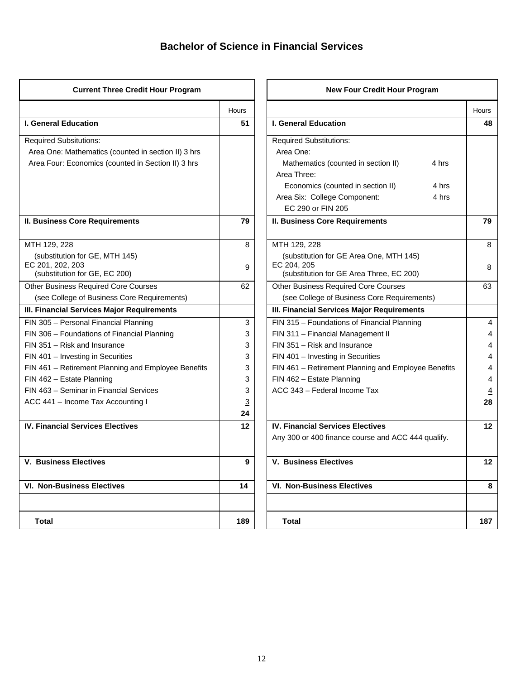# **Bachelor of Science in Financial Services**

| <b>Current Three Credit Hour Program</b>            |                | <b>New Four Credit Hour Program</b>                 |                |
|-----------------------------------------------------|----------------|-----------------------------------------------------|----------------|
|                                                     | Hours          |                                                     | Hours          |
| <b>I. General Education</b>                         | 51             | <b>I. General Education</b>                         | 48             |
| <b>Required Subsitutions:</b>                       |                | <b>Required Substitutions:</b>                      |                |
| Area One: Mathematics (counted in section II) 3 hrs |                | Area One:                                           |                |
| Area Four: Economics (counted in Section II) 3 hrs  |                | Mathematics (counted in section II)<br>4 hrs        |                |
|                                                     |                | Area Three:                                         |                |
|                                                     |                | Economics (counted in section II)<br>4 hrs          |                |
|                                                     |                | Area Six: College Component:<br>4 hrs               |                |
|                                                     |                | EC 290 or FIN 205                                   |                |
| <b>II. Business Core Requirements</b>               | 79             | <b>II. Business Core Requirements</b>               | 79             |
| MTH 129, 228                                        | 8              | MTH 129, 228                                        | 8              |
| (substitution for GE, MTH 145)                      |                | (substitution for GE Area One, MTH 145)             |                |
| EC 201, 202, 203                                    | 9              | EC 204, 205                                         | 8              |
| (substitution for GE, EC 200)                       |                | (substitution for GE Area Three, EC 200)            | 63             |
| <b>Other Business Required Core Courses</b>         | 62             | Other Business Required Core Courses                |                |
| (see College of Business Core Requirements)         |                | (see College of Business Core Requirements)         |                |
| III. Financial Services Major Requirements          |                | III. Financial Services Major Requirements          |                |
| FIN 305 - Personal Financial Planning               | 3              | FIN 315 - Foundations of Financial Planning         | 4              |
| FIN 306 - Foundations of Financial Planning         | 3              | FIN 311 - Financial Management II                   |                |
| FIN 351 - Risk and Insurance                        | 3              | FIN 351 - Risk and Insurance                        | 4              |
| FIN 401 - Investing in Securities                   | 3              | FIN 401 - Investing in Securities                   | 4              |
| FIN 461 - Retirement Planning and Employee Benefits | 3              | FIN 461 - Retirement Planning and Employee Benefits | 4              |
| FIN 462 - Estate Planning                           | 3              | FIN 462 - Estate Planning                           | 4              |
| FIN 463 - Seminar in Financial Services             | 3              | ACC 343 - Federal Income Tax                        | $\overline{4}$ |
| ACC 441 - Income Tax Accounting I                   | $\overline{3}$ |                                                     | 28             |
|                                                     | 24             |                                                     |                |
| <b>IV. Financial Services Electives</b>             | 12             | <b>IV. Financial Services Electives</b>             | 12             |
|                                                     |                | Any 300 or 400 finance course and ACC 444 qualify.  |                |
| <b>V. Business Electives</b>                        | 9              | <b>V. Business Electives</b>                        | 12             |
| <b>VI. Non-Business Electives</b>                   | 14             | <b>VI. Non-Business Electives</b>                   | 8              |
| <b>Total</b>                                        | 189            | Total                                               | 187            |

|          | <b>New Four Credit Hour Program</b>                     |          |
|----------|---------------------------------------------------------|----------|
| Hours    |                                                         | Hours    |
| 51       | <b>I. General Education</b>                             | 48       |
|          | <b>Required Substitutions:</b>                          |          |
|          | Area One:                                               |          |
|          | Mathematics (counted in section II)<br>4 hrs            |          |
|          | Area Three:                                             |          |
|          | Economics (counted in section II)<br>4 hrs              |          |
|          | 4 hrs<br>Area Six: College Component:                   |          |
|          | EC 290 or FIN 205                                       |          |
| 79       | <b>II. Business Core Requirements</b>                   | 79       |
| 8        | MTH 129, 228                                            | 8        |
|          | (substitution for GE Area One, MTH 145)                 |          |
| 9        | EC 204, 205<br>(substitution for GE Area Three, EC 200) | 8        |
| 62       | <b>Other Business Required Core Courses</b>             | 63       |
|          | (see College of Business Core Requirements)             |          |
|          | III. Financial Services Major Requirements              |          |
| 3        | FIN 315 - Foundations of Financial Planning             | 4        |
| 3        | FIN 311 - Financial Management II                       | 4        |
| 3        | FIN 351 - Risk and Insurance                            | 4        |
| 3        | FIN 401 - Investing in Securities                       | 4        |
| 3        | FIN 461 - Retirement Planning and Employee Benefits     | 4        |
| 3        | FIN 462 - Estate Planning                               | 4        |
| 3        | ACC 343 - Federal Income Tax                            | <u>4</u> |
| <u>3</u> |                                                         | 28       |
| 24       |                                                         |          |
| 12       | <b>IV. Financial Services Electives</b>                 | 12       |
|          | Any 300 or 400 finance course and ACC 444 qualify.      |          |
| 9        | <b>V. Business Electives</b>                            | 12       |
| 14       | <b>VI. Non-Business Electives</b>                       | 8        |
|          |                                                         |          |
| 189      | <b>Total</b>                                            | 187      |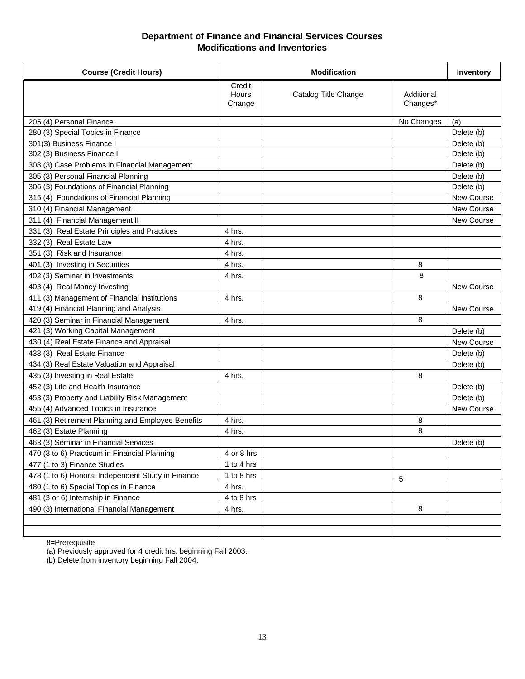#### **Department of Finance and Financial Services Courses Modifications and Inventories**

| <b>Course (Credit Hours)</b>                      | <b>Modification</b>              |                      | Inventory              |            |
|---------------------------------------------------|----------------------------------|----------------------|------------------------|------------|
|                                                   | Credit<br><b>Hours</b><br>Change | Catalog Title Change | Additional<br>Changes* |            |
| 205 (4) Personal Finance                          |                                  |                      | No Changes             | (a)        |
| 280 (3) Special Topics in Finance                 |                                  |                      |                        | Delete (b) |
| 301(3) Business Finance I                         |                                  |                      |                        | Delete (b) |
| 302 (3) Business Finance II                       |                                  |                      |                        | Delete (b) |
| 303 (3) Case Problems in Financial Management     |                                  |                      |                        | Delete (b) |
| 305 (3) Personal Financial Planning               |                                  |                      |                        | Delete (b) |
| 306 (3) Foundations of Financial Planning         |                                  |                      |                        | Delete (b) |
| 315 (4) Foundations of Financial Planning         |                                  |                      |                        | New Course |
| 310 (4) Financial Management I                    |                                  |                      |                        | New Course |
| 311 (4) Financial Management II                   |                                  |                      |                        | New Course |
| 331 (3) Real Estate Principles and Practices      | 4 hrs.                           |                      |                        |            |
| 332 (3) Real Estate Law                           | 4 hrs.                           |                      |                        |            |
| 351 (3) Risk and Insurance                        | 4 hrs.                           |                      |                        |            |
| 401 (3) Investing in Securities                   | 4 hrs.                           |                      | 8                      |            |
| 402 (3) Seminar in Investments                    | 4 hrs.                           |                      | 8                      |            |
| 403 (4) Real Money Investing                      |                                  |                      |                        | New Course |
| 411 (3) Management of Financial Institutions      | 4 hrs.                           |                      | 8                      |            |
| 419 (4) Financial Planning and Analysis           |                                  |                      |                        | New Course |
| 420 (3) Seminar in Financial Management           | 4 hrs.                           |                      | 8                      |            |
| 421 (3) Working Capital Management                |                                  |                      |                        | Delete (b) |
| 430 (4) Real Estate Finance and Appraisal         |                                  |                      |                        | New Course |
| 433 (3) Real Estate Finance                       |                                  |                      |                        | Delete (b) |
| 434 (3) Real Estate Valuation and Appraisal       |                                  |                      |                        | Delete (b) |
| 435 (3) Investing in Real Estate                  | 4 hrs.                           |                      | 8                      |            |
| 452 (3) Life and Health Insurance                 |                                  |                      |                        | Delete (b) |
| 453 (3) Property and Liability Risk Management    |                                  |                      |                        | Delete (b) |
| 455 (4) Advanced Topics in Insurance              |                                  |                      |                        | New Course |
| 461 (3) Retirement Planning and Employee Benefits | 4 hrs.                           |                      | 8                      |            |
| 462 (3) Estate Planning                           | 4 hrs.                           |                      | 8                      |            |
| 463 (3) Seminar in Financial Services             |                                  |                      |                        | Delete (b) |
| 470 (3 to 6) Practicum in Financial Planning      | 4 or 8 hrs                       |                      |                        |            |
| 477 (1 to 3) Finance Studies                      | 1 to 4 hrs                       |                      |                        |            |
| 478 (1 to 6) Honors: Independent Study in Finance | 1 to 8 hrs                       |                      | 5                      |            |
| 480 (1 to 6) Special Topics in Finance            | 4 hrs.                           |                      |                        |            |
| 481 (3 or 6) Internship in Finance                | 4 to 8 hrs                       |                      |                        |            |
| 490 (3) International Financial Management        | 4 hrs.                           |                      | 8                      |            |
|                                                   |                                  |                      |                        |            |
|                                                   |                                  |                      |                        |            |

8=Prerequisite

(a) Previously approved for 4 credit hrs. beginning Fall 2003.

(b) Delete from inventory beginning Fall 2004.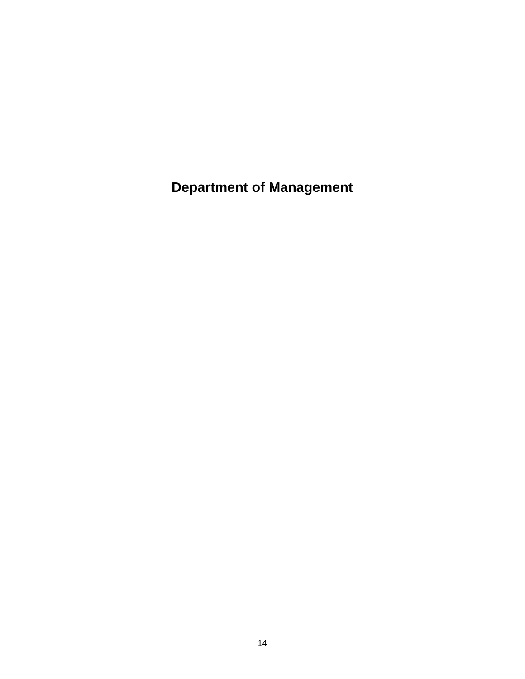**Department of Management**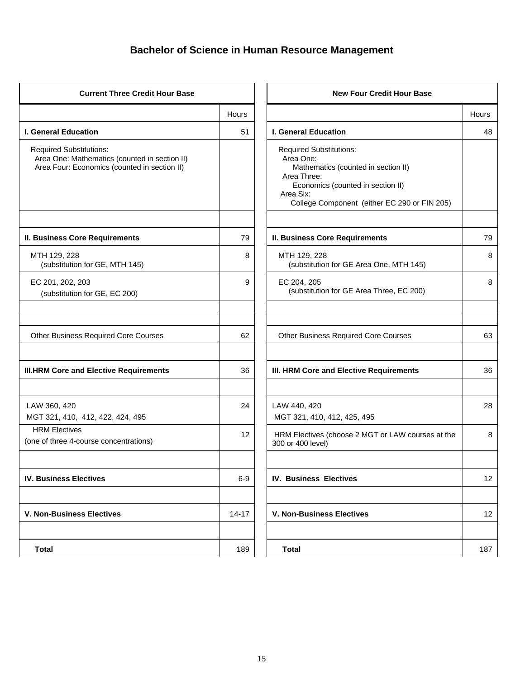# **Bachelor of Science in Human Resource Management**

| <b>Current Three Credit Hour Base</b>                                                                                           |              | <b>New Four Credit Hour Base</b>                                                                                                                                                                    |              |
|---------------------------------------------------------------------------------------------------------------------------------|--------------|-----------------------------------------------------------------------------------------------------------------------------------------------------------------------------------------------------|--------------|
|                                                                                                                                 | <b>Hours</b> |                                                                                                                                                                                                     | <b>Hours</b> |
| <b>I. General Education</b>                                                                                                     | 51           | <b>I. General Education</b>                                                                                                                                                                         | 48           |
| <b>Required Substitutions:</b><br>Area One: Mathematics (counted in section II)<br>Area Four: Economics (counted in section II) |              | <b>Required Substitutions:</b><br>Area One:<br>Mathematics (counted in section II)<br>Area Three:<br>Economics (counted in section II)<br>Area Six:<br>College Component (either EC 290 or FIN 205) |              |
| <b>II. Business Core Requirements</b>                                                                                           | 79           | <b>II. Business Core Requirements</b>                                                                                                                                                               | 79           |
| MTH 129, 228<br>(substitution for GE, MTH 145)                                                                                  | 8            | MTH 129, 228<br>(substitution for GE Area One, MTH 145)                                                                                                                                             | 8            |
| EC 201, 202, 203<br>(substitution for GE, EC 200)                                                                               | 9            | EC 204, 205<br>(substitution for GE Area Three, EC 200)                                                                                                                                             | 8            |
| <b>Other Business Required Core Courses</b>                                                                                     | 62           | <b>Other Business Required Core Courses</b>                                                                                                                                                         | 63           |
| <b>III.HRM Core and Elective Requirements</b>                                                                                   | 36           | III. HRM Core and Elective Requirements                                                                                                                                                             | 36           |
| LAW 360, 420<br>MGT 321, 410, 412, 422, 424, 495                                                                                | 24           | LAW 440, 420<br>MGT 321, 410, 412, 425, 495                                                                                                                                                         | 28           |
| <b>HRM Electives</b><br>(one of three 4-course concentrations)                                                                  | 12           | HRM Electives (choose 2 MGT or LAW courses at the<br>300 or 400 level)                                                                                                                              | 8            |
| <b>IV. Business Electives</b>                                                                                                   | $6-9$        | <b>IV. Business Electives</b>                                                                                                                                                                       | 12           |
| <b>V. Non-Business Electives</b>                                                                                                | $14 - 17$    | <b>V. Non-Business Electives</b>                                                                                                                                                                    | 12           |
| <b>Total</b>                                                                                                                    | 189          | Total                                                                                                                                                                                               | 187          |

|           | <b>New Four Credit Hour Base</b>                                                                                                                                                                    |       |
|-----------|-----------------------------------------------------------------------------------------------------------------------------------------------------------------------------------------------------|-------|
| Hours     |                                                                                                                                                                                                     | Hours |
| 51        | <b>I. General Education</b>                                                                                                                                                                         | 48    |
|           | <b>Required Substitutions:</b><br>Area One:<br>Mathematics (counted in section II)<br>Area Three:<br>Economics (counted in section II)<br>Area Six:<br>College Component (either EC 290 or FIN 205) |       |
| 79        | <b>II. Business Core Requirements</b>                                                                                                                                                               | 79    |
| 8         | MTH 129, 228<br>(substitution for GE Area One, MTH 145)                                                                                                                                             | 8     |
| 9         | EC 204, 205<br>(substitution for GE Area Three, EC 200)                                                                                                                                             | 8     |
|           |                                                                                                                                                                                                     |       |
| 62        | <b>Other Business Required Core Courses</b>                                                                                                                                                         | 63    |
| 36        | III. HRM Core and Elective Requirements                                                                                                                                                             | 36    |
| 24        | LAW 440, 420<br>MGT 321, 410, 412, 425, 495                                                                                                                                                         | 28    |
| 12        | HRM Electives (choose 2 MGT or LAW courses at the<br>300 or 400 level)                                                                                                                              | 8     |
| $6-9$     | <b>IV. Business Electives</b>                                                                                                                                                                       | 12    |
| $14 - 17$ | <b>V. Non-Business Electives</b>                                                                                                                                                                    | 12    |
| 189       | <b>Total</b>                                                                                                                                                                                        | 187   |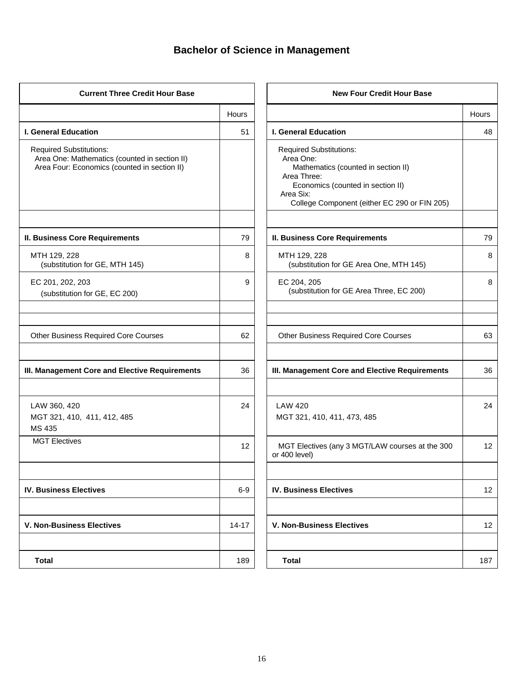# **Bachelor of Science in Management**

| <b>Current Three Credit Hour Base</b>                                                                                           |              | <b>New Four Credit Hour Base</b>                                                                                                                                                                    |       |
|---------------------------------------------------------------------------------------------------------------------------------|--------------|-----------------------------------------------------------------------------------------------------------------------------------------------------------------------------------------------------|-------|
|                                                                                                                                 | <b>Hours</b> |                                                                                                                                                                                                     | Hours |
| <b>I. General Education</b>                                                                                                     | 51           | <b>I. General Education</b>                                                                                                                                                                         | 48    |
| <b>Required Substitutions:</b><br>Area One: Mathematics (counted in section II)<br>Area Four: Economics (counted in section II) |              | <b>Required Substitutions:</b><br>Area One:<br>Mathematics (counted in section II)<br>Area Three:<br>Economics (counted in section II)<br>Area Six:<br>College Component (either EC 290 or FIN 205) |       |
| <b>II. Business Core Requirements</b>                                                                                           | 79           | <b>II. Business Core Requirements</b>                                                                                                                                                               | 79    |
| MTH 129, 228<br>(substitution for GE, MTH 145)                                                                                  | 8            | MTH 129, 228<br>(substitution for GE Area One, MTH 145)                                                                                                                                             | 8     |
| EC 201, 202, 203<br>(substitution for GE, EC 200)                                                                               | 9            | EC 204, 205<br>(substitution for GE Area Three, EC 200)                                                                                                                                             | 8     |
| Other Business Required Core Courses                                                                                            | 62           | <b>Other Business Required Core Courses</b>                                                                                                                                                         | 63    |
| III. Management Core and Elective Requirements                                                                                  | 36           | III. Management Core and Elective Requirements                                                                                                                                                      | 36    |
| LAW 360, 420<br>MGT 321, 410, 411, 412, 485<br>MS 435                                                                           | 24           | <b>LAW 420</b><br>MGT 321, 410, 411, 473, 485                                                                                                                                                       | 24    |
| <b>MGT Electives</b>                                                                                                            | 12           | MGT Electives (any 3 MGT/LAW courses at the 300<br>or 400 level)                                                                                                                                    | 12    |
| <b>IV. Business Electives</b>                                                                                                   | $6-9$        | <b>IV. Business Electives</b>                                                                                                                                                                       | 12    |
| <b>V. Non-Business Electives</b>                                                                                                | 14-17        | <b>V. Non-Business Electives</b>                                                                                                                                                                    | 12    |
| <b>Total</b>                                                                                                                    | 189          | <b>Total</b>                                                                                                                                                                                        | 187   |

|           | <b>New Four Credit Hour Base</b>                                                                                                                                                                    |       |
|-----------|-----------------------------------------------------------------------------------------------------------------------------------------------------------------------------------------------------|-------|
| Hours     |                                                                                                                                                                                                     | Hours |
| 51        | <b>I. General Education</b>                                                                                                                                                                         | 48    |
|           | <b>Required Substitutions:</b><br>Area One:<br>Mathematics (counted in section II)<br>Area Three:<br>Economics (counted in section II)<br>Area Six:<br>College Component (either EC 290 or FIN 205) |       |
|           |                                                                                                                                                                                                     |       |
| 79        | <b>II. Business Core Requirements</b>                                                                                                                                                               | 79    |
| 8         | MTH 129, 228<br>(substitution for GE Area One, MTH 145)                                                                                                                                             | 8     |
| 9         | EC 204, 205<br>(substitution for GE Area Three, EC 200)                                                                                                                                             | 8     |
|           |                                                                                                                                                                                                     |       |
| 62        | <b>Other Business Required Core Courses</b>                                                                                                                                                         | 63    |
| 36        | III. Management Core and Elective Requirements                                                                                                                                                      | 36    |
|           |                                                                                                                                                                                                     |       |
| 24        | LAW 420<br>MGT 321, 410, 411, 473, 485                                                                                                                                                              | 24    |
| 12        | MGT Electives (any 3 MGT/LAW courses at the 300<br>or 400 level)                                                                                                                                    | 12    |
|           |                                                                                                                                                                                                     |       |
| $6-9$     | <b>IV. Business Electives</b>                                                                                                                                                                       | 12    |
|           |                                                                                                                                                                                                     |       |
| $14 - 17$ | <b>V. Non-Business Electives</b>                                                                                                                                                                    | 12    |
| 189       | <b>Total</b>                                                                                                                                                                                        | 187   |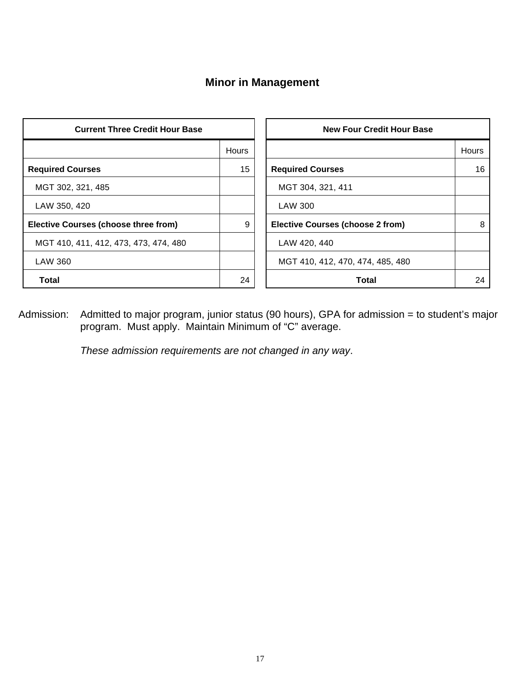# **Minor in Management**

| <b>Current Three Credit Hour Base</b>       |              | <b>New Four Credit Hour Base</b>        |              |
|---------------------------------------------|--------------|-----------------------------------------|--------------|
|                                             | <b>Hours</b> |                                         | <b>Hours</b> |
| <b>Required Courses</b>                     | 15           | <b>Required Courses</b>                 | 16           |
| MGT 302, 321, 485                           |              | MGT 304, 321, 411                       |              |
| LAW 350, 420                                |              | LAW 300                                 |              |
| <b>Elective Courses (choose three from)</b> | 9            | <b>Elective Courses (choose 2 from)</b> | 8            |
| MGT 410, 411, 412, 473, 473, 474, 480       |              | LAW 420, 440                            |              |
| LAW 360                                     |              | MGT 410, 412, 470, 474, 485, 480        |              |
| <b>Total</b>                                | 24           | <b>Total</b>                            | 24           |

Admission: Admitted to major program, junior status (90 hours), GPA for admission = to student's major program. Must apply. Maintain Minimum of "C" average.

*These admission requirements are not changed in any way*.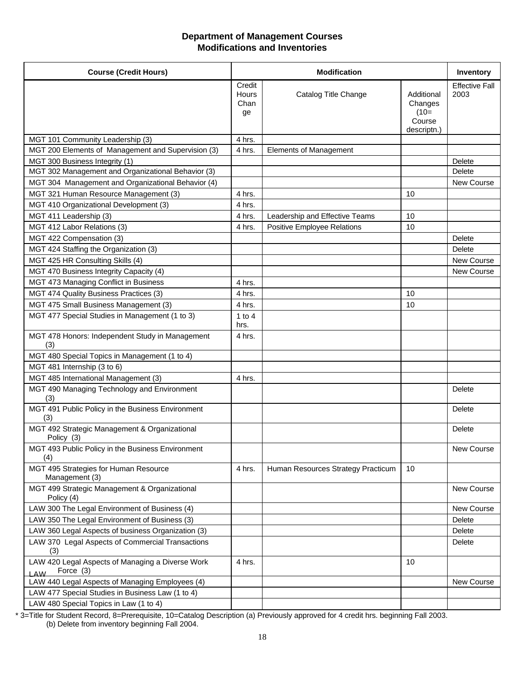#### **Department of Management Courses Modifications and Inventories**

| <b>Course (Credit Hours)</b>                                                |                               | <b>Modification</b>                |                                                          |                               |
|-----------------------------------------------------------------------------|-------------------------------|------------------------------------|----------------------------------------------------------|-------------------------------|
|                                                                             | Credit<br>Hours<br>Chan<br>ge | Catalog Title Change               | Additional<br>Changes<br>$(10=$<br>Course<br>descriptn.) | <b>Effective Fall</b><br>2003 |
| MGT 101 Community Leadership (3)                                            | 4 hrs.                        |                                    |                                                          |                               |
| MGT 200 Elements of Management and Supervision (3)                          | 4 hrs.                        | <b>Elements of Management</b>      |                                                          |                               |
| MGT 300 Business Integrity (1)                                              |                               |                                    |                                                          | Delete                        |
| MGT 302 Management and Organizational Behavior (3)                          |                               |                                    |                                                          | Delete                        |
| MGT 304 Management and Organizational Behavior (4)                          |                               |                                    |                                                          | New Course                    |
| MGT 321 Human Resource Management (3)                                       | 4 hrs.                        |                                    | 10                                                       |                               |
| MGT 410 Organizational Development (3)                                      | 4 hrs.                        |                                    |                                                          |                               |
| MGT 411 Leadership (3)                                                      | 4 hrs.                        | Leadership and Effective Teams     | 10                                                       |                               |
| MGT 412 Labor Relations (3)                                                 | 4 hrs.                        | Positive Employee Relations        | 10                                                       |                               |
| MGT 422 Compensation (3)                                                    |                               |                                    |                                                          | Delete                        |
| MGT 424 Staffing the Organization (3)                                       |                               |                                    |                                                          | <b>Delete</b>                 |
| MGT 425 HR Consulting Skills (4)                                            |                               |                                    |                                                          | New Course                    |
| MGT 470 Business Integrity Capacity (4)                                     |                               |                                    |                                                          | <b>New Course</b>             |
| MGT 473 Managing Conflict in Business                                       | 4 hrs.                        |                                    |                                                          |                               |
| MGT 474 Quality Business Practices (3)                                      | 4 hrs.                        |                                    | 10                                                       |                               |
| MGT 475 Small Business Management (3)                                       | 4 hrs.                        |                                    | 10                                                       |                               |
| MGT 477 Special Studies in Management (1 to 3)                              | 1 to $4$                      |                                    |                                                          |                               |
|                                                                             | hrs.                          |                                    |                                                          |                               |
| MGT 478 Honors: Independent Study in Management<br>(3)                      | 4 hrs.                        |                                    |                                                          |                               |
| MGT 480 Special Topics in Management (1 to 4)                               |                               |                                    |                                                          |                               |
| MGT 481 Internship (3 to 6)                                                 |                               |                                    |                                                          |                               |
| MGT 485 International Management (3)                                        | 4 hrs.                        |                                    |                                                          |                               |
| MGT 490 Managing Technology and Environment<br>(3)                          |                               |                                    |                                                          | Delete                        |
| MGT 491 Public Policy in the Business Environment<br>(3)                    |                               |                                    |                                                          | Delete                        |
| MGT 492 Strategic Management & Organizational<br>Policy (3)                 |                               |                                    |                                                          | <b>Delete</b>                 |
| MGT 493 Public Policy in the Business Environment<br>(4)                    |                               |                                    |                                                          | New Course                    |
| MGT 495 Strategies for Human Resource<br>Management (3)                     | 4 hrs.                        | Human Resources Strategy Practicum | 10                                                       |                               |
| MGT 499 Strategic Management & Organizational<br>Policy (4)                 |                               |                                    |                                                          | New Course                    |
| LAW 300 The Legal Environment of Business (4)                               |                               |                                    |                                                          | New Course                    |
| LAW 350 The Legal Environment of Business (3)                               |                               |                                    |                                                          | <b>Delete</b>                 |
| LAW 360 Legal Aspects of business Organization (3)                          |                               |                                    |                                                          | <b>Delete</b>                 |
| LAW 370 Legal Aspects of Commercial Transactions<br>(3)                     |                               |                                    |                                                          | Delete                        |
| LAW 420 Legal Aspects of Managing a Diverse Work<br>Force (3)<br><b>LAW</b> | 4 hrs.                        |                                    | 10                                                       |                               |
| LAW 440 Legal Aspects of Managing Employees (4)                             |                               |                                    |                                                          | New Course                    |
| LAW 477 Special Studies in Business Law (1 to 4)                            |                               |                                    |                                                          |                               |
| LAW 480 Special Topics in Law (1 to 4)                                      |                               |                                    |                                                          |                               |

\* 3=Title for Student Record, 8=Prerequisite, 10=Catalog Description (a) Previously approved for 4 credit hrs. beginning Fall 2003. (b) Delete from inventory beginning Fall 2004.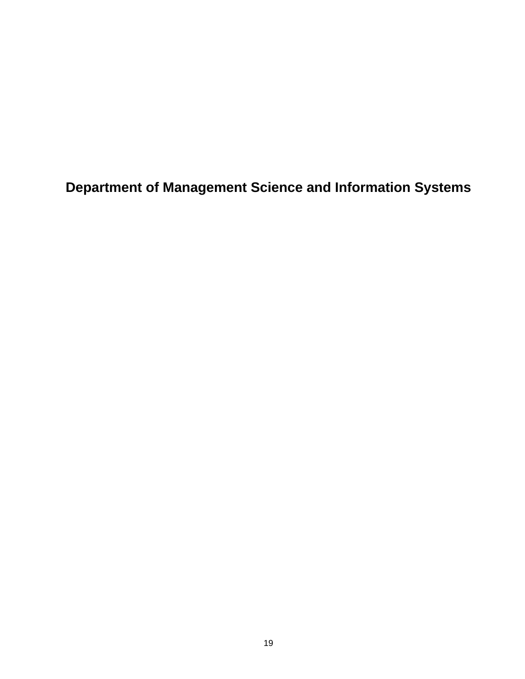**Department of Management Science and Information Systems**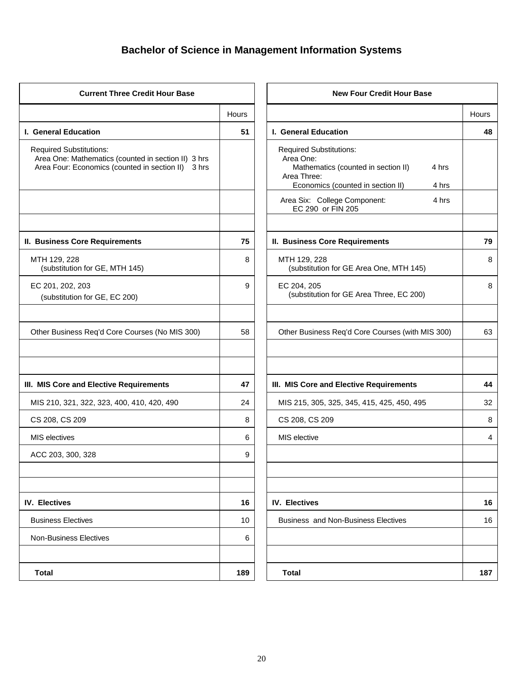# **Bachelor of Science in Management Information Systems**

| <b>Current Three Credit Hour Base</b> |                                                                                                                                                          | <b>New Four Credit Hour Base</b> |  |  |
|---------------------------------------|----------------------------------------------------------------------------------------------------------------------------------------------------------|----------------------------------|--|--|
| Hours                                 |                                                                                                                                                          | Hours                            |  |  |
| 51                                    | I. General Education                                                                                                                                     | 48                               |  |  |
|                                       | <b>Required Substitutions:</b><br>Area One:<br>Mathematics (counted in section II)<br>4 hrs<br>Area Three:<br>Economics (counted in section II)<br>4 hrs |                                  |  |  |
|                                       | Area Six: College Component:<br>4 hrs<br>EC 290 or FIN 205                                                                                               |                                  |  |  |
| 75                                    | <b>II. Business Core Requirements</b>                                                                                                                    | 79                               |  |  |
| 8                                     | MTH 129, 228<br>(substitution for GE Area One, MTH 145)                                                                                                  | 8                                |  |  |
| 9                                     | EC 204, 205<br>(substitution for GE Area Three, EC 200)                                                                                                  | 8                                |  |  |
| 58                                    | Other Business Req'd Core Courses (with MIS 300)                                                                                                         | 63                               |  |  |
| 47                                    | III. MIS Core and Elective Requirements                                                                                                                  | 44                               |  |  |
| 24                                    | MIS 215, 305, 325, 345, 415, 425, 450, 495                                                                                                               | 32                               |  |  |
| 8                                     | CS 208, CS 209                                                                                                                                           | 8                                |  |  |
| 6                                     | MIS elective                                                                                                                                             | 4                                |  |  |
| 9                                     |                                                                                                                                                          |                                  |  |  |
| 16                                    | <b>IV. Electives</b>                                                                                                                                     | 16                               |  |  |
| 10                                    | <b>Business and Non-Business Electives</b>                                                                                                               | 16                               |  |  |
| 6                                     |                                                                                                                                                          |                                  |  |  |
| 189                                   | <b>Total</b>                                                                                                                                             | 187                              |  |  |
|                                       |                                                                                                                                                          |                                  |  |  |

|       | <b>New Four Credit Hour Base</b>                                                                                                                  |       |
|-------|---------------------------------------------------------------------------------------------------------------------------------------------------|-------|
| Hours |                                                                                                                                                   | Hours |
| 51    | I. General Education                                                                                                                              | 48    |
|       | Required Substitutions:<br>Area One:<br>Mathematics (counted in section II)<br>4 hrs<br>Area Three:<br>Economics (counted in section II)<br>4 hrs |       |
|       | Area Six: College Component:<br>4 hrs<br>EC 290 or FIN 205                                                                                        |       |
| 75    | II. Business Core Requirements                                                                                                                    | 79    |
| 8     | MTH 129, 228<br>(substitution for GE Area One, MTH 145)                                                                                           | 8     |
| 9     | EC 204, 205<br>(substitution for GE Area Three, EC 200)                                                                                           | 8     |
| 58    | Other Business Req'd Core Courses (with MIS 300)                                                                                                  | 63    |
| 47    | III. MIS Core and Elective Requirements                                                                                                           | 44    |
| 24    | MIS 215, 305, 325, 345, 415, 425, 450, 495                                                                                                        | 32    |
| 8     | CS 208, CS 209                                                                                                                                    | 8     |
| 6     | MIS elective                                                                                                                                      | 4     |
| 9     |                                                                                                                                                   |       |
| 16    | <b>IV. Electives</b>                                                                                                                              | 16    |
| 10    | <b>Business and Non-Business Electives</b>                                                                                                        | 16    |
| 6     |                                                                                                                                                   |       |
| 189   | <b>Total</b>                                                                                                                                      | 187   |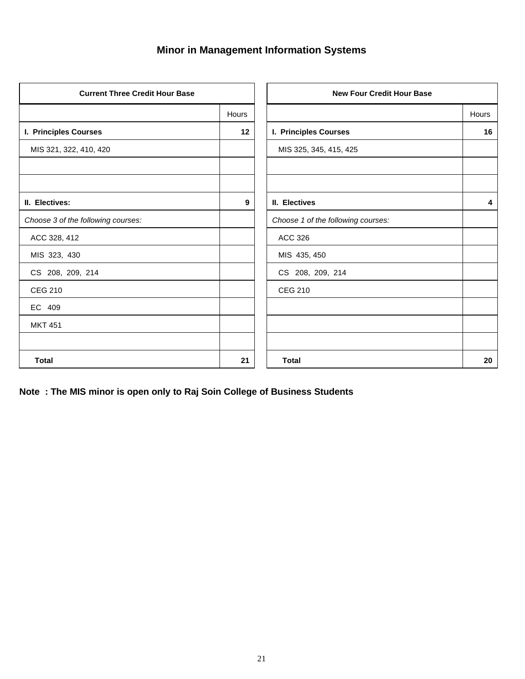# **Minor in Management Information Systems**

| <b>Current Three Credit Hour Base</b> |       | <b>New Four Credit Hour Base</b>   |              |
|---------------------------------------|-------|------------------------------------|--------------|
|                                       | Hours |                                    | <b>Hours</b> |
| I. Principles Courses                 | 12    | I. Principles Courses              | 16           |
| MIS 321, 322, 410, 420                |       | MIS 325, 345, 415, 425             |              |
|                                       |       |                                    |              |
| II. Electives:                        | 9     | II. Electives                      | 4            |
| Choose 3 of the following courses:    |       | Choose 1 of the following courses: |              |
| ACC 328, 412                          |       | <b>ACC 326</b>                     |              |
| MIS 323, 430                          |       | MIS 435, 450                       |              |
| CS 208, 209, 214                      |       | CS 208, 209, 214                   |              |
| <b>CEG 210</b>                        |       | <b>CEG 210</b>                     |              |
| EC 409                                |       |                                    |              |
| <b>MKT 451</b>                        |       |                                    |              |
|                                       |       |                                    |              |
| <b>Total</b>                          | 21    | <b>Total</b>                       | 20           |

**Note : The MIS minor is open only to Raj Soin College of Business Students**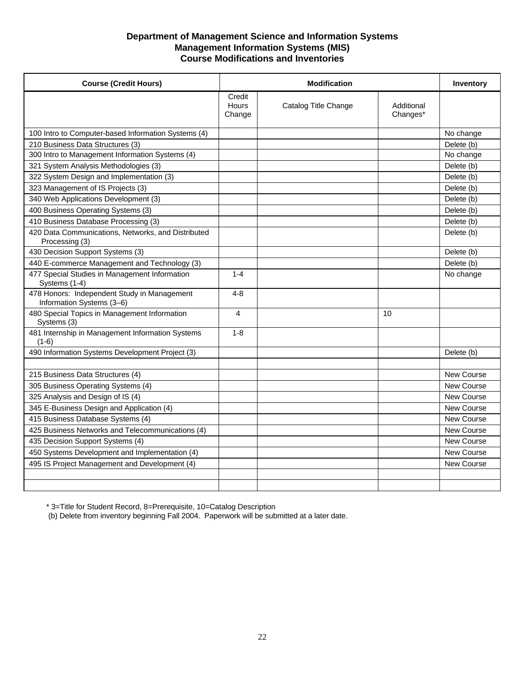#### **Department of Management Science and Information Systems Management Information Systems (MIS) Course Modifications and Inventories**

| <b>Course (Credit Hours)</b>                                             |                                  | <b>Modification</b>  |                        |                   |
|--------------------------------------------------------------------------|----------------------------------|----------------------|------------------------|-------------------|
|                                                                          | Credit<br><b>Hours</b><br>Change | Catalog Title Change | Additional<br>Changes* |                   |
| 100 Intro to Computer-based Information Systems (4)                      |                                  |                      |                        | No change         |
| 210 Business Data Structures (3)                                         |                                  |                      |                        | Delete (b)        |
| 300 Intro to Management Information Systems (4)                          |                                  |                      |                        | No change         |
| 321 System Analysis Methodologies (3)                                    |                                  |                      |                        | Delete (b)        |
| 322 System Design and Implementation (3)                                 |                                  |                      |                        | Delete (b)        |
| 323 Management of IS Projects (3)                                        |                                  |                      |                        | Delete (b)        |
| 340 Web Applications Development (3)                                     |                                  |                      |                        | Delete (b)        |
| 400 Business Operating Systems (3)                                       |                                  |                      |                        | Delete (b)        |
| 410 Business Database Processing (3)                                     |                                  |                      |                        | Delete (b)        |
| 420 Data Communications, Networks, and Distributed<br>Processing (3)     |                                  |                      |                        | Delete (b)        |
| 430 Decision Support Systems (3)                                         |                                  |                      |                        | Delete (b)        |
| 440 E-commerce Management and Technology (3)                             |                                  |                      |                        | Delete (b)        |
| 477 Special Studies in Management Information<br>Systems (1-4)           | $1 - 4$                          |                      |                        | No change         |
| 478 Honors: Independent Study in Management<br>Information Systems (3-6) | $4 - 8$                          |                      |                        |                   |
| 480 Special Topics in Management Information<br>Systems (3)              | 4                                |                      | 10                     |                   |
| 481 Internship in Management Information Systems<br>$(1-6)$              | $1 - 8$                          |                      |                        |                   |
| 490 Information Systems Development Project (3)                          |                                  |                      |                        | Delete (b)        |
|                                                                          |                                  |                      |                        |                   |
| 215 Business Data Structures (4)                                         |                                  |                      |                        | <b>New Course</b> |
| 305 Business Operating Systems (4)                                       |                                  |                      |                        | <b>New Course</b> |
| 325 Analysis and Design of IS (4)                                        |                                  |                      |                        | New Course        |
| 345 E-Business Design and Application (4)                                |                                  |                      |                        | New Course        |
| 415 Business Database Systems (4)                                        |                                  |                      |                        | New Course        |
| 425 Business Networks and Telecommunications (4)                         |                                  |                      |                        | New Course        |
| 435 Decision Support Systems (4)                                         |                                  |                      |                        | <b>New Course</b> |
| 450 Systems Development and Implementation (4)                           |                                  |                      |                        | New Course        |
| 495 IS Project Management and Development (4)                            |                                  |                      |                        | <b>New Course</b> |
|                                                                          |                                  |                      |                        |                   |
|                                                                          |                                  |                      |                        |                   |

\* 3=Title for Student Record, 8=Prerequisite, 10=Catalog Description

(b) Delete from inventory beginning Fall 2004. Paperwork will be submitted at a later date.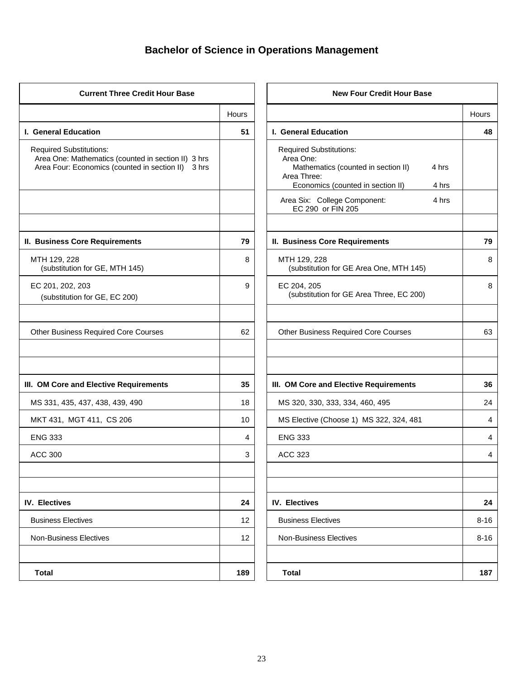# **Bachelor of Science in Operations Management**

| <b>Current Three Credit Hour Base</b>                                                                                                       |       | <b>New Four Credit Hour Base</b>                                                                                                                         |          |  |
|---------------------------------------------------------------------------------------------------------------------------------------------|-------|----------------------------------------------------------------------------------------------------------------------------------------------------------|----------|--|
|                                                                                                                                             | Hours |                                                                                                                                                          | Hours    |  |
| I. General Education                                                                                                                        | 51    | I. General Education                                                                                                                                     | 48       |  |
| <b>Required Substitutions:</b><br>Area One: Mathematics (counted in section II) 3 hrs<br>Area Four: Economics (counted in section II) 3 hrs |       | <b>Required Substitutions:</b><br>Area One:<br>Mathematics (counted in section II)<br>4 hrs<br>Area Three:<br>Economics (counted in section II)<br>4 hrs |          |  |
|                                                                                                                                             |       | Area Six: College Component:<br>4 hrs<br>EC 290 or FIN 205                                                                                               |          |  |
| II. Business Core Requirements                                                                                                              | 79    | <b>II. Business Core Requirements</b>                                                                                                                    | 79       |  |
| MTH 129, 228<br>(substitution for GE, MTH 145)                                                                                              | 8     | MTH 129, 228<br>(substitution for GE Area One, MTH 145)                                                                                                  | 8        |  |
| EC 201, 202, 203<br>(substitution for GE, EC 200)                                                                                           | 9     | EC 204, 205<br>(substitution for GE Area Three, EC 200)                                                                                                  | 8        |  |
| <b>Other Business Required Core Courses</b>                                                                                                 | 62    | <b>Other Business Required Core Courses</b>                                                                                                              | 63       |  |
| III. OM Core and Elective Requirements                                                                                                      | 35    | III. OM Core and Elective Requirements                                                                                                                   | 36       |  |
| MS 331, 435, 437, 438, 439, 490                                                                                                             | 18    | MS 320, 330, 333, 334, 460, 495                                                                                                                          | 24       |  |
| MKT 431, MGT 411, CS 206                                                                                                                    | 10    | MS Elective (Choose 1) MS 322, 324, 481                                                                                                                  | 4        |  |
| <b>ENG 333</b>                                                                                                                              | 4     | <b>ENG 333</b>                                                                                                                                           | 4        |  |
| <b>ACC 300</b>                                                                                                                              | 3     | <b>ACC 323</b>                                                                                                                                           | 4        |  |
| <b>IV. Electives</b>                                                                                                                        | 24    | <b>IV. Electives</b>                                                                                                                                     | 24       |  |
| <b>Business Electives</b>                                                                                                                   | 12    | <b>Business Electives</b>                                                                                                                                | $8 - 16$ |  |
| <b>Non-Business Electives</b>                                                                                                               | 12    | <b>Non-Business Electives</b>                                                                                                                            | $8 - 16$ |  |
| <b>Total</b>                                                                                                                                | 189   | <b>Total</b>                                                                                                                                             | 187      |  |

|       | <b>New Four Credit Hour Base</b>                                                                                                                         |          |
|-------|----------------------------------------------------------------------------------------------------------------------------------------------------------|----------|
| Hours |                                                                                                                                                          | Hours    |
| 51    | <b>I. General Education</b>                                                                                                                              | 48       |
|       | <b>Required Substitutions:</b><br>Area One:<br>Mathematics (counted in section II)<br>4 hrs<br>Area Three:<br>Economics (counted in section II)<br>4 hrs |          |
|       | Area Six: College Component:<br>4 hrs<br>EC 290 or FIN 205                                                                                               |          |
| 79    | II. Business Core Requirements                                                                                                                           | 79       |
| 8     | MTH 129, 228<br>(substitution for GE Area One, MTH 145)                                                                                                  | 8        |
| 9     | EC 204, 205<br>(substitution for GE Area Three, EC 200)                                                                                                  | 8        |
| 62    | <b>Other Business Required Core Courses</b>                                                                                                              | 63       |
| 35    | III. OM Core and Elective Requirements                                                                                                                   | 36       |
| 18    | MS 320, 330, 333, 334, 460, 495                                                                                                                          | 24       |
| 10    | MS Elective (Choose 1) MS 322, 324, 481                                                                                                                  | 4        |
| 4     | <b>ENG 333</b>                                                                                                                                           | 4        |
| 3     | <b>ACC 323</b>                                                                                                                                           | 4        |
|       |                                                                                                                                                          |          |
| 24    | <b>IV. Electives</b>                                                                                                                                     | 24       |
| 12    | <b>Business Electives</b>                                                                                                                                | $8 - 16$ |
| 12    | <b>Non-Business Electives</b>                                                                                                                            | $8 - 16$ |
|       |                                                                                                                                                          |          |
| 189   | <b>Total</b>                                                                                                                                             | 187      |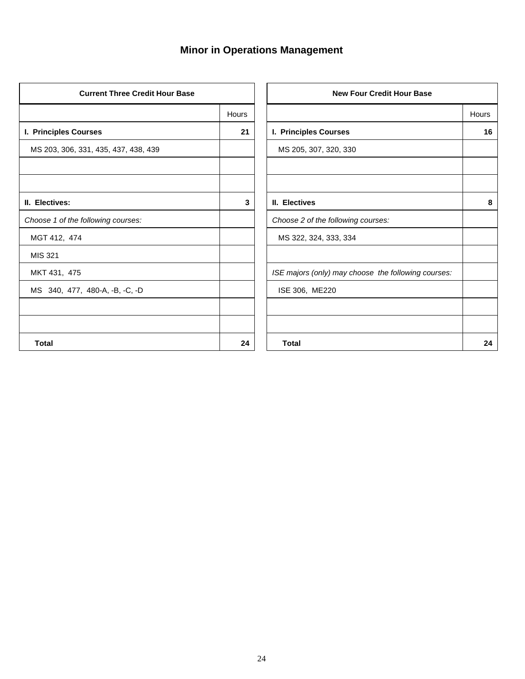# **Minor in Operations Management**

| <b>Current Three Credit Hour Base</b> |              | <b>New Four Credit Hour Base</b>                    |              |
|---------------------------------------|--------------|-----------------------------------------------------|--------------|
|                                       | <b>Hours</b> |                                                     | <b>Hours</b> |
| I. Principles Courses                 | 21           | I. Principles Courses                               | 16           |
| MS 203, 306, 331, 435, 437, 438, 439  |              | MS 205, 307, 320, 330                               |              |
|                                       |              |                                                     |              |
| II. Electives:                        | 3            | II. Electives                                       | 8            |
| Choose 1 of the following courses:    |              | Choose 2 of the following courses:                  |              |
| MGT 412, 474                          |              | MS 322, 324, 333, 334                               |              |
| MIS 321                               |              |                                                     |              |
| MKT 431, 475                          |              | ISE majors (only) may choose the following courses: |              |
| MS 340, 477, 480-A, -B, -C, -D        |              | ISE 306, ME220                                      |              |
|                                       |              |                                                     |              |
|                                       |              |                                                     |              |
| <b>Total</b>                          | 24           | <b>Total</b>                                        | 24           |

|       | <b>New Four Credit Hour Base</b>                    |       |
|-------|-----------------------------------------------------|-------|
| Hours |                                                     | Hours |
| 21    | I. Principles Courses                               | 16    |
|       | MS 205, 307, 320, 330                               |       |
|       |                                                     |       |
|       |                                                     |       |
| 3     | II. Electives                                       | 8     |
|       | Choose 2 of the following courses:                  |       |
|       | MS 322, 324, 333, 334                               |       |
|       |                                                     |       |
|       | ISE majors (only) may choose the following courses: |       |
|       | ISE 306, ME220                                      |       |
|       |                                                     |       |
|       |                                                     |       |
| 24    | <b>Total</b>                                        | 24    |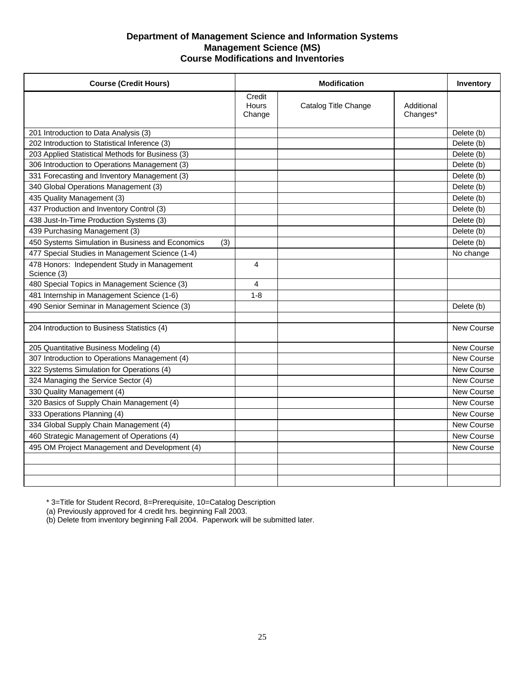#### **Department of Management Science and Information Systems Management Science (MS) Course Modifications and Inventories**

| <b>Course (Credit Hours)</b>                               | <b>Modification</b>              |                      |                        | <b>Inventory</b>  |
|------------------------------------------------------------|----------------------------------|----------------------|------------------------|-------------------|
|                                                            | Credit<br><b>Hours</b><br>Change | Catalog Title Change | Additional<br>Changes* |                   |
| 201 Introduction to Data Analysis (3)                      |                                  |                      |                        | Delete (b)        |
| 202 Introduction to Statistical Inference (3)              |                                  |                      |                        | Delete (b)        |
| 203 Applied Statistical Methods for Business (3)           |                                  |                      |                        | Delete (b)        |
| 306 Introduction to Operations Management (3)              |                                  |                      |                        | Delete (b)        |
| 331 Forecasting and Inventory Management (3)               |                                  |                      |                        | Delete (b)        |
| 340 Global Operations Management (3)                       |                                  |                      |                        | Delete (b)        |
| 435 Quality Management (3)                                 |                                  |                      |                        | Delete (b)        |
| 437 Production and Inventory Control (3)                   |                                  |                      |                        | Delete (b)        |
| 438 Just-In-Time Production Systems (3)                    |                                  |                      |                        | Delete (b)        |
| 439 Purchasing Management (3)                              |                                  |                      |                        | Delete (b)        |
| 450 Systems Simulation in Business and Economics<br>(3)    |                                  |                      |                        | Delete (b)        |
| 477 Special Studies in Management Science (1-4)            |                                  |                      |                        | No change         |
| 478 Honors: Independent Study in Management<br>Science (3) | 4                                |                      |                        |                   |
| 480 Special Topics in Management Science (3)               | 4                                |                      |                        |                   |
| 481 Internship in Management Science (1-6)                 | $1 - 8$                          |                      |                        |                   |
| 490 Senior Seminar in Management Science (3)               |                                  |                      |                        | Delete (b)        |
|                                                            |                                  |                      |                        |                   |
| 204 Introduction to Business Statistics (4)                |                                  |                      |                        | <b>New Course</b> |
| 205 Quantitative Business Modeling (4)                     |                                  |                      |                        | New Course        |
| 307 Introduction to Operations Management (4)              |                                  |                      |                        | <b>New Course</b> |
| 322 Systems Simulation for Operations (4)                  |                                  |                      |                        | <b>New Course</b> |
| 324 Managing the Service Sector (4)                        |                                  |                      |                        | New Course        |
| 330 Quality Management (4)                                 |                                  |                      |                        | <b>New Course</b> |
| 320 Basics of Supply Chain Management (4)                  |                                  |                      |                        | <b>New Course</b> |
| 333 Operations Planning (4)                                |                                  |                      |                        | <b>New Course</b> |
| 334 Global Supply Chain Management (4)                     |                                  |                      |                        | <b>New Course</b> |
| 460 Strategic Management of Operations (4)                 |                                  |                      |                        | <b>New Course</b> |
| 495 OM Project Management and Development (4)              |                                  |                      |                        | New Course        |
|                                                            |                                  |                      |                        |                   |
|                                                            |                                  |                      |                        |                   |
|                                                            |                                  |                      |                        |                   |

\* 3=Title for Student Record, 8=Prerequisite, 10=Catalog Description

(a) Previously approved for 4 credit hrs. beginning Fall 2003.

(b) Delete from inventory beginning Fall 2004. Paperwork will be submitted later.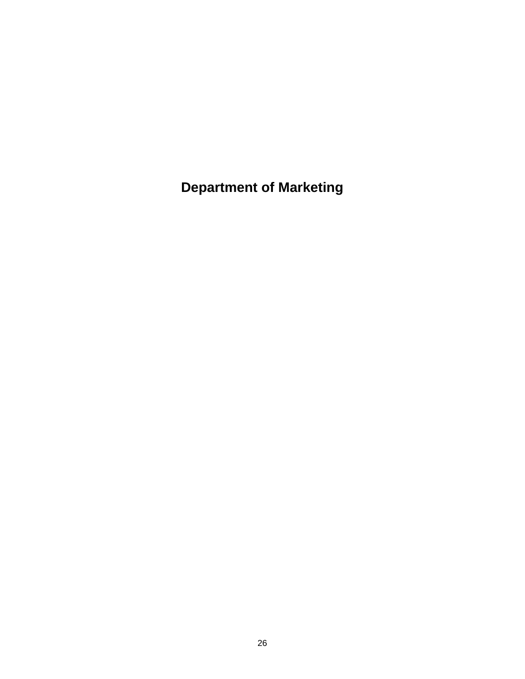**Department of Marketing**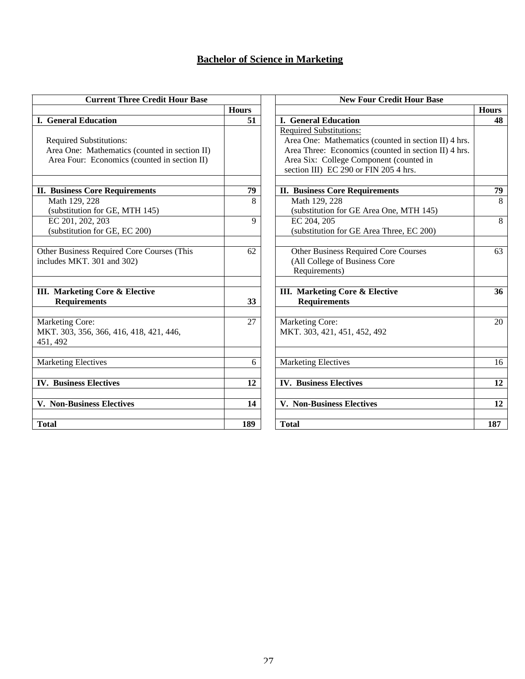### **Bachelor of Science in Marketing**

| <b>Current Three Credit Hour Base</b>                                                                                           |              | <b>New Four Credit Hour Base</b>                                                                                                                                                                                                   |                |
|---------------------------------------------------------------------------------------------------------------------------------|--------------|------------------------------------------------------------------------------------------------------------------------------------------------------------------------------------------------------------------------------------|----------------|
|                                                                                                                                 | <b>Hours</b> |                                                                                                                                                                                                                                    | <b>Hours</b>   |
| <b>I. General Education</b>                                                                                                     | 51           | <b>I. General Education</b>                                                                                                                                                                                                        | 48             |
| <b>Required Substitutions:</b><br>Area One: Mathematics (counted in section II)<br>Area Four: Economics (counted in section II) |              | <b>Required Substitutions:</b><br>Area One: Mathematics (counted in section II) 4 hrs.<br>Area Three: Economics (counted in section II) 4 hrs.<br>Area Six: College Component (counted in<br>section III) EC 290 or FIN 205 4 hrs. |                |
| <b>II. Business Core Requirements</b>                                                                                           | 79           | <b>II. Business Core Requirements</b>                                                                                                                                                                                              | 79             |
| Math 129, 228<br>(substitution for GE, MTH 145)                                                                                 | 8            | Math 129, 228<br>(substitution for GE Area One, MTH 145)                                                                                                                                                                           | $\overline{8}$ |
| EC 201, 202, 203<br>(substitution for GE, EC 200)                                                                               | 9            | EC 204, 205<br>(substitution for GE Area Three, EC 200)                                                                                                                                                                            | $\overline{8}$ |
| Other Business Required Core Courses (This<br>includes MKT. 301 and 302)                                                        | 62           | Other Business Required Core Courses<br>(All College of Business Core<br>Requirements)                                                                                                                                             | 63             |
| <b>III.</b> Marketing Core & Elective<br><b>Requirements</b>                                                                    | 33           | III. Marketing Core & Elective<br><b>Requirements</b>                                                                                                                                                                              | 36             |
| Marketing Core:<br>MKT. 303, 356, 366, 416, 418, 421, 446,<br>451, 492                                                          | 27           | <b>Marketing Core:</b><br>MKT. 303, 421, 451, 452, 492                                                                                                                                                                             | 20             |
| <b>Marketing Electives</b>                                                                                                      | 6            | <b>Marketing Electives</b>                                                                                                                                                                                                         | 16             |
| <b>IV. Business Electives</b>                                                                                                   | 12           | <b>IV. Business Electives</b>                                                                                                                                                                                                      | 12             |
| <b>V. Non-Business Electives</b>                                                                                                | 14           | <b>V. Non-Business Electives</b>                                                                                                                                                                                                   | 12             |
| <b>Total</b>                                                                                                                    | 189          | <b>Total</b>                                                                                                                                                                                                                       | 187            |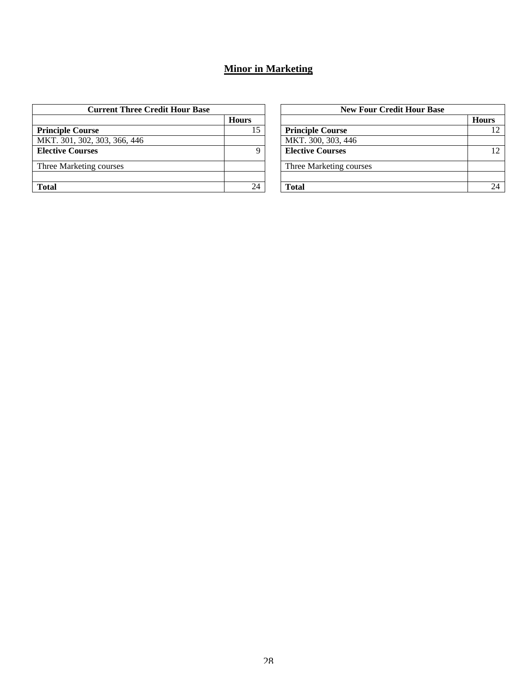### **Minor in Marketing**

| <b>Current Three Credit Hour Base</b> |              | <b>New Four Credit Hour Base</b> |              |
|---------------------------------------|--------------|----------------------------------|--------------|
|                                       | <b>Hours</b> |                                  | <b>Hours</b> |
| <b>Principle Course</b>               | 15           | <b>Principle Course</b>          | 12           |
| MKT. 301, 302, 303, 366, 446          |              | MKT. 300, 303, 446               |              |
| <b>Elective Courses</b>               | Q            | <b>Elective Courses</b>          | 12           |
| Three Marketing courses               |              | Three Marketing courses          |              |
|                                       |              |                                  |              |
| <b>Total</b>                          | 24           | Total                            | 24           |

|              | <b>New Four Credit Hour Base</b> |              |  |  |  |
|--------------|----------------------------------|--------------|--|--|--|
| <b>Hours</b> |                                  | <b>Hours</b> |  |  |  |
| 15           | <b>Principle Course</b>          |              |  |  |  |
|              | MKT. 300, 303, 446               |              |  |  |  |
| 9            | <b>Elective Courses</b>          | 12           |  |  |  |
|              | Three Marketing courses          |              |  |  |  |
|              |                                  |              |  |  |  |
| 24           | <b>Total</b>                     |              |  |  |  |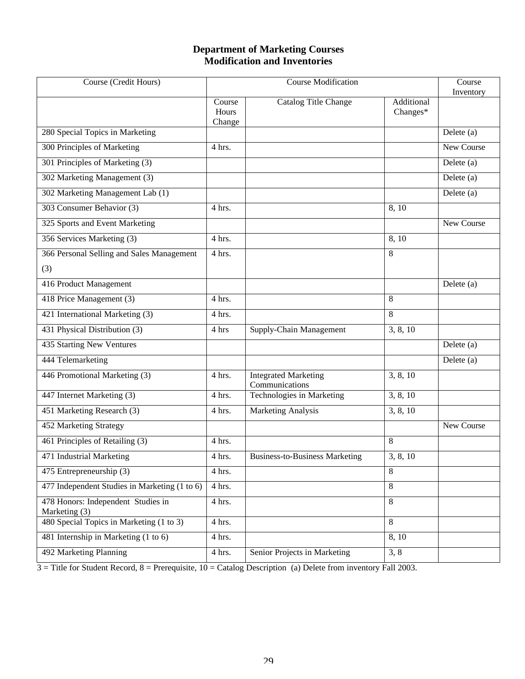### **Department of Marketing Courses Modification and Inventories**

| Course (Credit Hours)                               | <b>Course Modification</b> |                                               | Course<br>Inventory    |                   |
|-----------------------------------------------------|----------------------------|-----------------------------------------------|------------------------|-------------------|
|                                                     | Course<br>Hours<br>Change  | <b>Catalog Title Change</b>                   | Additional<br>Changes* |                   |
| 280 Special Topics in Marketing                     |                            |                                               |                        | Delete $(a)$      |
| 300 Principles of Marketing                         | 4 hrs.                     |                                               |                        | <b>New Course</b> |
| 301 Principles of Marketing (3)                     |                            |                                               |                        | Delete (a)        |
| 302 Marketing Management (3)                        |                            |                                               |                        | Delete (a)        |
| 302 Marketing Management Lab (1)                    |                            |                                               |                        | Delete (a)        |
| 303 Consumer Behavior (3)                           | 4 hrs.                     |                                               | 8, 10                  |                   |
| 325 Sports and Event Marketing                      |                            |                                               |                        | New Course        |
| 356 Services Marketing (3)                          | 4 hrs.                     |                                               | 8,10                   |                   |
| 366 Personal Selling and Sales Management           | 4 hrs.                     |                                               | 8                      |                   |
| (3)                                                 |                            |                                               |                        |                   |
| 416 Product Management                              |                            |                                               |                        | Delete (a)        |
| 418 Price Management (3)                            | 4 hrs.                     |                                               | 8                      |                   |
| 421 International Marketing (3)                     | 4 hrs.                     |                                               | 8                      |                   |
| 431 Physical Distribution (3)                       | 4 hrs                      | Supply-Chain Management                       | 3, 8, 10               |                   |
| 435 Starting New Ventures                           |                            |                                               |                        | Delete (a)        |
| 444 Telemarketing                                   |                            |                                               |                        | Delete (a)        |
| 446 Promotional Marketing (3)                       | 4 hrs.                     | <b>Integrated Marketing</b><br>Communications | 3, 8, 10               |                   |
| 447 Internet Marketing (3)                          | 4 hrs.                     | Technologies in Marketing                     | 3, 8, 10               |                   |
| 451 Marketing Research (3)                          | 4 hrs.                     | <b>Marketing Analysis</b>                     | 3, 8, 10               |                   |
| 452 Marketing Strategy                              |                            |                                               |                        | New Course        |
| 461 Principles of Retailing (3)                     | 4 hrs.                     |                                               | 8                      |                   |
| 471 Industrial Marketing                            | 4 hrs.                     | <b>Business-to-Business Marketing</b>         | 3, 8, 10               |                   |
| 475 Entrepreneurship (3)                            | 4 hrs.                     |                                               | 8                      |                   |
| 477 Independent Studies in Marketing (1 to 6)       | 4 hrs.                     |                                               | 8                      |                   |
| 478 Honors: Independent Studies in<br>Marketing (3) | 4 hrs.                     |                                               | 8                      |                   |
| 480 Special Topics in Marketing (1 to 3)            | 4 hrs.                     |                                               | 8                      |                   |
| 481 Internship in Marketing (1 to 6)                | 4 hrs.                     |                                               | 8,10                   |                   |
| 492 Marketing Planning                              | 4 hrs.                     | Senior Projects in Marketing                  | 3, 8                   |                   |

 $3 =$  Title for Student Record,  $8 =$  Prerequisite,  $10 =$  Catalog Description (a) Delete from inventory Fall 2003.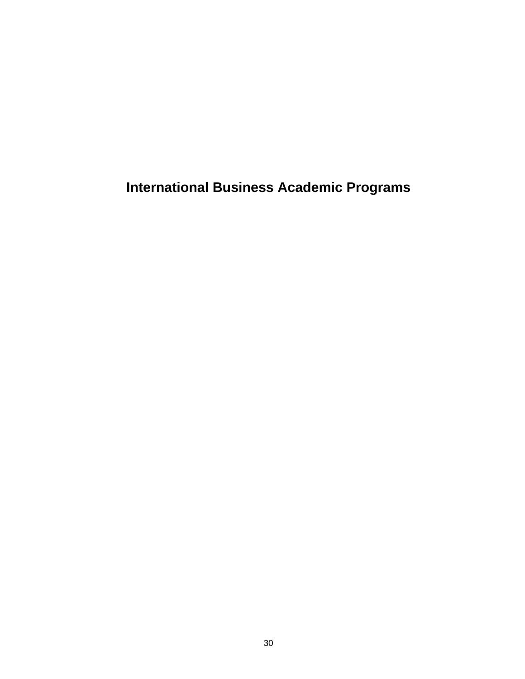**International Business Academic Programs**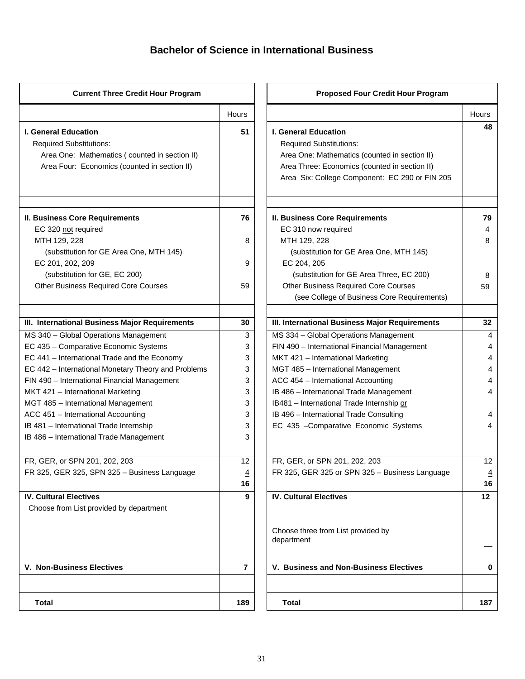### **Bachelor of Science in International Business**

| <b>Current Three Credit Hour Program</b>                                                                                                                       |                | <b>Proposed Four Credit Hour Program</b>                                                                                                                                                                          |                |
|----------------------------------------------------------------------------------------------------------------------------------------------------------------|----------------|-------------------------------------------------------------------------------------------------------------------------------------------------------------------------------------------------------------------|----------------|
|                                                                                                                                                                | <b>Hours</b>   |                                                                                                                                                                                                                   | Hours          |
| <b>I. General Education</b><br><b>Required Substitutions:</b><br>Area One: Mathematics (counted in section II)<br>Area Four: Economics (counted in section II) | 51             | <b>I. General Education</b><br><b>Required Substitutions:</b><br>Area One: Mathematics (counted in section II)<br>Area Three: Economics (counted in section II)<br>Area Six: College Component: EC 290 or FIN 205 | 48             |
| <b>II. Business Core Requirements</b>                                                                                                                          | 76             | <b>II. Business Core Requirements</b>                                                                                                                                                                             | 79             |
| EC 320 not required                                                                                                                                            |                | EC 310 now required                                                                                                                                                                                               | 4              |
| MTH 129, 228                                                                                                                                                   | 8              | MTH 129, 228                                                                                                                                                                                                      | 8              |
| (substitution for GE Area One, MTH 145)                                                                                                                        |                | (substitution for GE Area One, MTH 145)                                                                                                                                                                           |                |
| EC 201, 202, 209                                                                                                                                               | 9              | EC 204, 205                                                                                                                                                                                                       |                |
| (substitution for GE, EC 200)                                                                                                                                  |                | (substitution for GE Area Three, EC 200)                                                                                                                                                                          | 8              |
| <b>Other Business Required Core Courses</b>                                                                                                                    | 59             | <b>Other Business Required Core Courses</b>                                                                                                                                                                       | 59             |
|                                                                                                                                                                |                | (see College of Business Core Requirements)                                                                                                                                                                       |                |
| III. International Business Major Requirements                                                                                                                 | 30             | III. International Business Major Requirements                                                                                                                                                                    | 32             |
| MS 340 - Global Operations Management                                                                                                                          | 3              | MS 334 - Global Operations Management                                                                                                                                                                             | 4              |
| EC 435 - Comparative Economic Systems                                                                                                                          | 3              | FIN 490 - International Financial Management                                                                                                                                                                      | 4              |
| EC 441 - International Trade and the Economy                                                                                                                   | 3              | MKT 421 - International Marketing                                                                                                                                                                                 | 4              |
| EC 442 - International Monetary Theory and Problems                                                                                                            | 3              | MGT 485 - International Management                                                                                                                                                                                | 4              |
| FIN 490 - International Financial Management                                                                                                                   | 3              | ACC 454 - International Accounting                                                                                                                                                                                | 4              |
| MKT 421 - International Marketing                                                                                                                              | 3              | IB 486 - International Trade Management                                                                                                                                                                           | 4              |
| MGT 485 - International Management                                                                                                                             | 3              | IB481 - International Trade Internship or                                                                                                                                                                         |                |
| ACC 451 - International Accounting                                                                                                                             | 3              | IB 496 - International Trade Consulting                                                                                                                                                                           |                |
| IB 481 - International Trade Internship                                                                                                                        | 3              | EC 435 -Comparative Economic Systems                                                                                                                                                                              | 4              |
| IB 486 - International Trade Management                                                                                                                        | 3              |                                                                                                                                                                                                                   |                |
| FR, GER, or SPN 201, 202, 203                                                                                                                                  | 12             | FR, GER, or SPN 201, 202, 203                                                                                                                                                                                     | 12             |
| FR 325, GER 325, SPN 325 - Business Language                                                                                                                   | $\overline{4}$ | FR 325, GER 325 or SPN 325 - Business Language                                                                                                                                                                    | $\overline{4}$ |
|                                                                                                                                                                | 16             |                                                                                                                                                                                                                   | 16             |
| <b>IV. Cultural Electives</b>                                                                                                                                  | 9              | <b>IV. Cultural Electives</b>                                                                                                                                                                                     | 12             |
| Choose from List provided by department                                                                                                                        |                |                                                                                                                                                                                                                   |                |
|                                                                                                                                                                |                | Choose three from List provided by<br>department                                                                                                                                                                  |                |
| <b>V. Non-Business Electives</b>                                                                                                                               | $\overline{7}$ | V. Business and Non-Business Electives                                                                                                                                                                            | 0              |
| <b>Total</b>                                                                                                                                                   | 189            | <b>Total</b>                                                                                                                                                                                                      | 187            |

|                | <b>Proposed Four Credit Hour Program</b>                                                                                                                                                                   |                |
|----------------|------------------------------------------------------------------------------------------------------------------------------------------------------------------------------------------------------------|----------------|
| Hours          |                                                                                                                                                                                                            | Hours          |
| 51             | I. General Education<br><b>Required Substitutions:</b><br>Area One: Mathematics (counted in section II)<br>Area Three: Economics (counted in section II)<br>Area Six: College Component: EC 290 or FIN 205 | 48             |
| 76             | <b>II. Business Core Requirements</b>                                                                                                                                                                      | 79             |
|                | EC 310 now required                                                                                                                                                                                        | 4              |
| 8              | MTH 129, 228<br>(substitution for GE Area One, MTH 145)                                                                                                                                                    | 8              |
| 9              | EC 204, 205                                                                                                                                                                                                |                |
|                | (substitution for GE Area Three, EC 200)                                                                                                                                                                   | 8              |
| 59             | <b>Other Business Required Core Courses</b>                                                                                                                                                                | 59             |
|                | (see College of Business Core Requirements)                                                                                                                                                                |                |
|                |                                                                                                                                                                                                            |                |
| 30             | III. International Business Major Requirements                                                                                                                                                             | 32             |
| 3              | MS 334 - Global Operations Management                                                                                                                                                                      | 4              |
| 3              | FIN 490 - International Financial Management                                                                                                                                                               | 4              |
| 3              | MKT 421 - International Marketing                                                                                                                                                                          | 4              |
| 3              | MGT 485 - International Management                                                                                                                                                                         | 4              |
| 3              | ACC 454 - International Accounting                                                                                                                                                                         | 4              |
| 3              | IB 486 - International Trade Management                                                                                                                                                                    | 4              |
| 3              | IB481 - International Trade Internship or                                                                                                                                                                  |                |
| 3              | IB 496 - International Trade Consulting                                                                                                                                                                    | 4              |
| 3<br>3         | EC 435 - Comparative Economic Systems                                                                                                                                                                      | 4              |
| 12             | FR, GER, or SPN 201, 202, 203                                                                                                                                                                              | 12             |
| $\overline{4}$ | FR 325, GER 325 or SPN 325 - Business Language                                                                                                                                                             | $\overline{4}$ |
| 16             |                                                                                                                                                                                                            | 16             |
| 9              | <b>IV. Cultural Electives</b>                                                                                                                                                                              | 12             |
|                | Choose three from List provided by<br>department                                                                                                                                                           |                |
| $\overline{7}$ | V. Business and Non-Business Electives                                                                                                                                                                     | 0              |
| 189            | <b>Total</b>                                                                                                                                                                                               | 187            |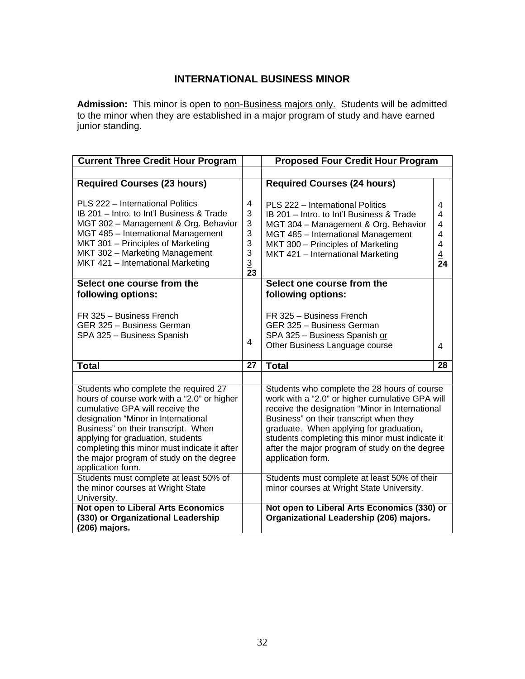### **INTERNATIONAL BUSINESS MINOR**

Admission: This minor is open to non-Business majors only. Students will be admitted to the minor when they are established in a major program of study and have earned junior standing.

| <b>Current Three Credit Hour Program</b>                                                                                                                                                                                                                                                                                                                    |                                                                                                                                                                                                                                                                                                                                                                    | <b>Proposed Four Credit Hour Program</b>                                                                                                                                                                                              |                                                                         |
|-------------------------------------------------------------------------------------------------------------------------------------------------------------------------------------------------------------------------------------------------------------------------------------------------------------------------------------------------------------|--------------------------------------------------------------------------------------------------------------------------------------------------------------------------------------------------------------------------------------------------------------------------------------------------------------------------------------------------------------------|---------------------------------------------------------------------------------------------------------------------------------------------------------------------------------------------------------------------------------------|-------------------------------------------------------------------------|
|                                                                                                                                                                                                                                                                                                                                                             |                                                                                                                                                                                                                                                                                                                                                                    |                                                                                                                                                                                                                                       |                                                                         |
| <b>Required Courses (23 hours)</b>                                                                                                                                                                                                                                                                                                                          |                                                                                                                                                                                                                                                                                                                                                                    | <b>Required Courses (24 hours)</b>                                                                                                                                                                                                    |                                                                         |
| PLS 222 - International Politics<br>IB 201 - Intro. to Int'l Business & Trade<br>MGT 302 - Management & Org. Behavior<br>MGT 485 - International Management<br>MKT 301 - Principles of Marketing<br>MKT 302 - Marketing Management<br>MKT 421 - International Marketing                                                                                     | 4<br>3<br>3<br>3<br>3<br>3<br>$\overline{3}$<br>23                                                                                                                                                                                                                                                                                                                 | PLS 222 - International Politics<br>IB 201 - Intro. to Int'l Business & Trade<br>MGT 304 - Management & Org. Behavior<br>MGT 485 - International Management<br>MKT 300 - Principles of Marketing<br>MKT 421 - International Marketing | 4<br>4<br>4<br>4<br>$\overline{4}$<br>$\overline{4}$<br>$\overline{24}$ |
| Select one course from the<br>following options:                                                                                                                                                                                                                                                                                                            |                                                                                                                                                                                                                                                                                                                                                                    | Select one course from the<br>following options:                                                                                                                                                                                      |                                                                         |
| FR 325 - Business French<br>GER 325 - Business German<br>SPA 325 - Business Spanish                                                                                                                                                                                                                                                                         | 4                                                                                                                                                                                                                                                                                                                                                                  | FR 325 - Business French<br>GER 325 - Business German<br>SPA 325 - Business Spanish or<br>Other Business Language course                                                                                                              | 4                                                                       |
| <b>Total</b>                                                                                                                                                                                                                                                                                                                                                | 27                                                                                                                                                                                                                                                                                                                                                                 | <b>Total</b>                                                                                                                                                                                                                          | 28                                                                      |
|                                                                                                                                                                                                                                                                                                                                                             |                                                                                                                                                                                                                                                                                                                                                                    |                                                                                                                                                                                                                                       |                                                                         |
| Students who complete the required 27<br>hours of course work with a "2.0" or higher<br>cumulative GPA will receive the<br>designation "Minor in International<br>Business" on their transcript. When<br>applying for graduation, students<br>completing this minor must indicate it after<br>the major program of study on the degree<br>application form. | Students who complete the 28 hours of course<br>work with a "2.0" or higher cumulative GPA will<br>receive the designation "Minor in International<br>Business" on their transcript when they<br>graduate. When applying for graduation,<br>students completing this minor must indicate it<br>after the major program of study on the degree<br>application form. |                                                                                                                                                                                                                                       |                                                                         |
| Students must complete at least 50% of<br>the minor courses at Wright State<br>University.                                                                                                                                                                                                                                                                  | Students must complete at least 50% of their<br>minor courses at Wright State University.                                                                                                                                                                                                                                                                          |                                                                                                                                                                                                                                       |                                                                         |
| Not open to Liberal Arts Economics<br>(330) or Organizational Leadership<br>(206) majors.                                                                                                                                                                                                                                                                   |                                                                                                                                                                                                                                                                                                                                                                    | Not open to Liberal Arts Economics (330) or<br>Organizational Leadership (206) majors.                                                                                                                                                |                                                                         |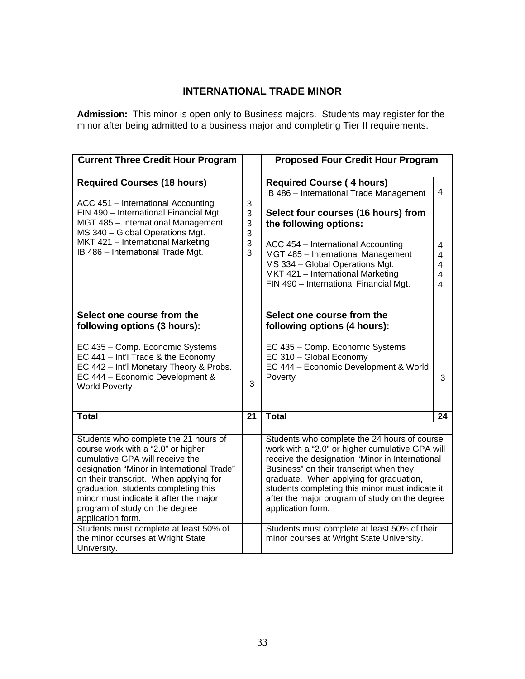### **INTERNATIONAL TRADE MINOR**

Admission: This minor is open only to Business majors. Students may register for the minor after being admitted to a business major and completing Tier II requirements.

| <b>Current Three Credit Hour Program</b>                                                                                                                                                                                                                                                                                                                                                  |                            | <b>Proposed Four Credit Hour Program</b>                                                                                                                                                                                                                                                                                                                                                                           |                            |
|-------------------------------------------------------------------------------------------------------------------------------------------------------------------------------------------------------------------------------------------------------------------------------------------------------------------------------------------------------------------------------------------|----------------------------|--------------------------------------------------------------------------------------------------------------------------------------------------------------------------------------------------------------------------------------------------------------------------------------------------------------------------------------------------------------------------------------------------------------------|----------------------------|
|                                                                                                                                                                                                                                                                                                                                                                                           |                            |                                                                                                                                                                                                                                                                                                                                                                                                                    |                            |
| <b>Required Courses (18 hours)</b><br>ACC 451 - International Accounting<br>FIN 490 - International Financial Mgt.<br>MGT 485 - International Management<br>MS 340 - Global Operations Mgt.<br>MKT 421 - International Marketing<br>IB 486 - International Trade Mgt.                                                                                                                     | 3<br>3<br>3<br>3<br>3<br>3 | <b>Required Course (4 hours)</b><br>IB 486 - International Trade Management<br>Select four courses (16 hours) from<br>the following options:<br>ACC 454 - International Accounting<br>MGT 485 - International Management<br>MS 334 - Global Operations Mgt.<br>MKT 421 - International Marketing<br>FIN 490 - International Financial Mgt.                                                                         | 4<br>4<br>4<br>4<br>4<br>4 |
| Select one course from the                                                                                                                                                                                                                                                                                                                                                                |                            | Select one course from the                                                                                                                                                                                                                                                                                                                                                                                         |                            |
| following options (3 hours):                                                                                                                                                                                                                                                                                                                                                              |                            | following options (4 hours):                                                                                                                                                                                                                                                                                                                                                                                       |                            |
| EC 435 - Comp. Economic Systems<br>EC 441 - Int'l Trade & the Economy<br>EC 442 - Int'l Monetary Theory & Probs.<br>EC 444 - Economic Development &<br><b>World Poverty</b>                                                                                                                                                                                                               | 3                          | EC 435 - Comp. Economic Systems<br>EC 310 - Global Economy<br>EC 444 - Economic Development & World<br>Poverty                                                                                                                                                                                                                                                                                                     | 3                          |
| Total                                                                                                                                                                                                                                                                                                                                                                                     | 21                         | <b>Total</b>                                                                                                                                                                                                                                                                                                                                                                                                       | 24                         |
| Students who complete the 21 hours of<br>course work with a "2.0" or higher<br>cumulative GPA will receive the<br>designation "Minor in International Trade"<br>on their transcript. When applying for<br>graduation, students completing this<br>minor must indicate it after the major<br>program of study on the degree<br>application form.<br>Students must complete at least 50% of |                            | Students who complete the 24 hours of course<br>work with a "2.0" or higher cumulative GPA will<br>receive the designation "Minor in International<br>Business" on their transcript when they<br>graduate. When applying for graduation,<br>students completing this minor must indicate it<br>after the major program of study on the degree<br>application form.<br>Students must complete at least 50% of their |                            |
| the minor courses at Wright State<br>University.                                                                                                                                                                                                                                                                                                                                          |                            | minor courses at Wright State University.                                                                                                                                                                                                                                                                                                                                                                          |                            |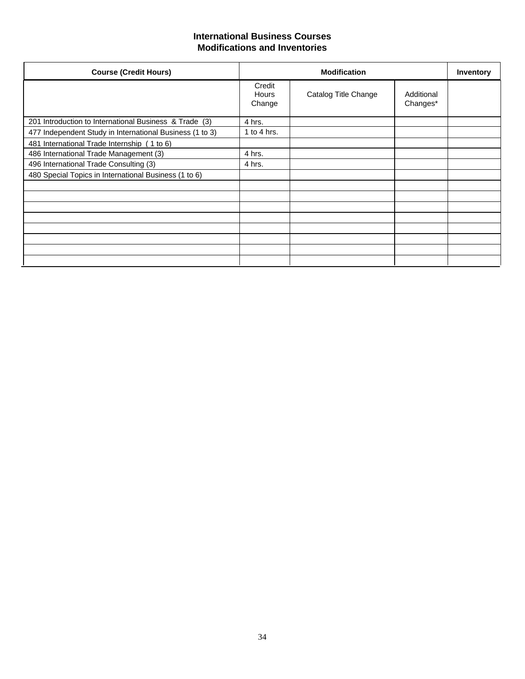### **International Business Courses Modifications and Inventories**

| <b>Course (Credit Hours)</b>                             |                           | <b>Modification</b>  |                        | <b>Inventory</b> |
|----------------------------------------------------------|---------------------------|----------------------|------------------------|------------------|
|                                                          | Credit<br>Hours<br>Change | Catalog Title Change | Additional<br>Changes* |                  |
| 201 Introduction to International Business & Trade (3)   | 4 hrs.                    |                      |                        |                  |
| 477 Independent Study in International Business (1 to 3) | 1 to 4 hrs.               |                      |                        |                  |
| 481 International Trade Internship (1 to 6)              |                           |                      |                        |                  |
| 486 International Trade Management (3)                   | 4 hrs.                    |                      |                        |                  |
| 496 International Trade Consulting (3)                   | 4 hrs.                    |                      |                        |                  |
| 480 Special Topics in International Business (1 to 6)    |                           |                      |                        |                  |
|                                                          |                           |                      |                        |                  |
|                                                          |                           |                      |                        |                  |
|                                                          |                           |                      |                        |                  |
|                                                          |                           |                      |                        |                  |
|                                                          |                           |                      |                        |                  |
|                                                          |                           |                      |                        |                  |
|                                                          |                           |                      |                        |                  |
|                                                          |                           |                      |                        |                  |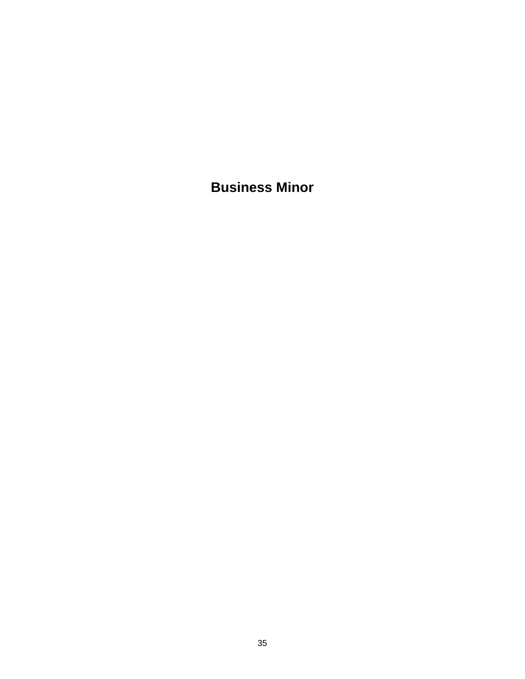**Business Minor**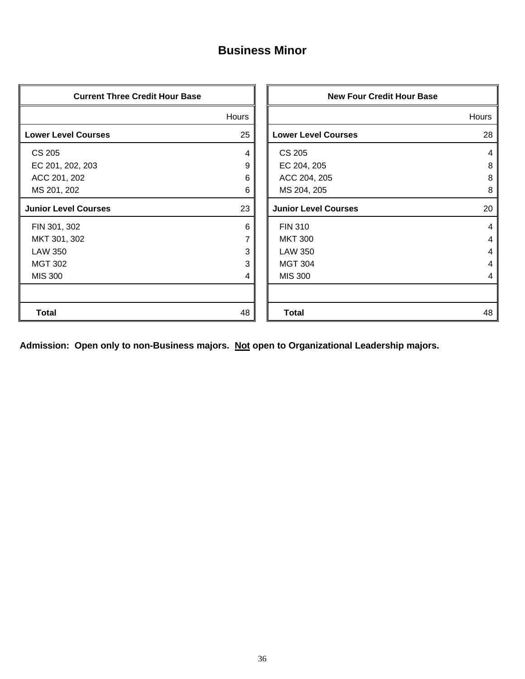# **Business Minor**

| <b>Current Three Credit Hour Base</b> |       | <b>New Four Credit Hour Base</b> |       |
|---------------------------------------|-------|----------------------------------|-------|
|                                       | Hours |                                  | Hours |
| <b>Lower Level Courses</b>            | 25    | <b>Lower Level Courses</b>       | 28    |
| <b>CS 205</b>                         | 4     | <b>CS 205</b>                    | 4     |
| EC 201, 202, 203                      | 9     | EC 204, 205                      | 8     |
| ACC 201, 202                          | 6     | ACC 204, 205                     | 8     |
| MS 201, 202                           | 6     | MS 204, 205                      | 8     |
| <b>Junior Level Courses</b>           | 23    | <b>Junior Level Courses</b>      | 20    |
| FIN 301, 302                          | 6     | <b>FIN 310</b>                   | 4     |
| MKT 301, 302                          |       | <b>MKT 300</b>                   | 4     |
| <b>LAW 350</b>                        | 3     | <b>LAW 350</b>                   | 4     |
| <b>MGT 302</b>                        | 3     | <b>MGT 304</b>                   | 4     |
| <b>MIS 300</b>                        | 4     | <b>MIS 300</b>                   | 4     |
|                                       |       |                                  |       |
| <b>Total</b>                          | 48    | <b>Total</b>                     | 48    |

**Admission: Open only to non-Business majors. Not open to Organizational Leadership majors.**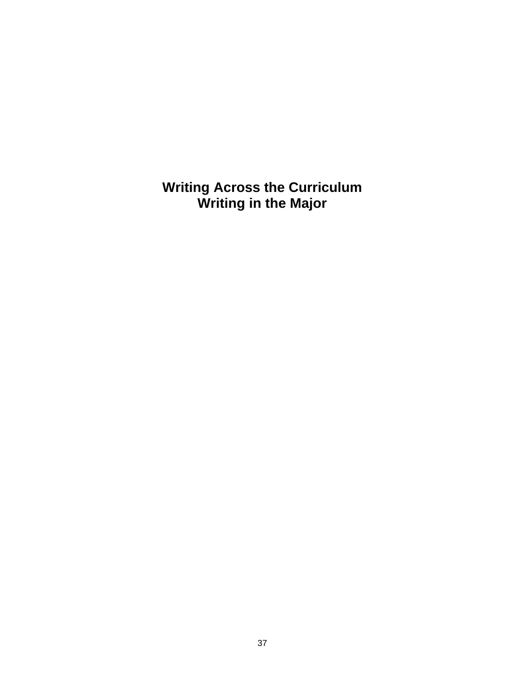**Writing Across the Curriculum Writing in the Major**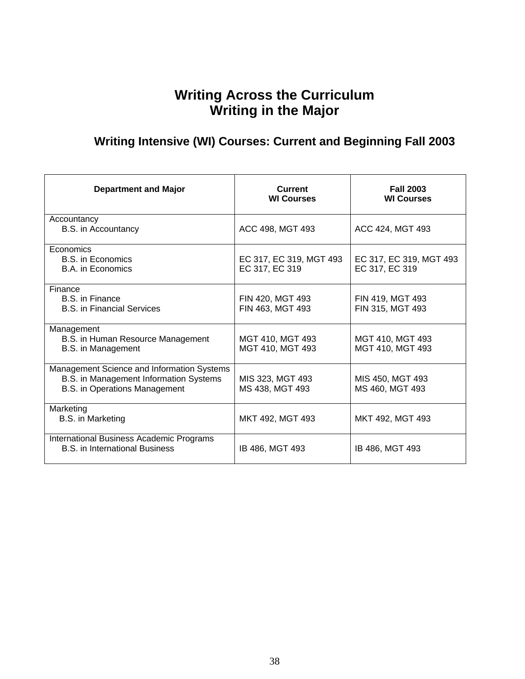# **Writing Across the Curriculum Writing in the Major**

# **Writing Intensive (WI) Courses: Current and Beginning Fall 2003**

| <b>Department and Major</b>                                                                                           | <b>Current</b><br><b>WI Courses</b>       | <b>Fall 2003</b><br><b>WI Courses</b>     |
|-----------------------------------------------------------------------------------------------------------------------|-------------------------------------------|-------------------------------------------|
| Accountancy<br><b>B.S.</b> in Accountancy                                                                             | ACC 498, MGT 493                          | ACC 424, MGT 493                          |
| Economics<br>B.S. in Economics<br>B.A. in Economics                                                                   | EC 317, EC 319, MGT 493<br>EC 317, EC 319 | EC 317, EC 319, MGT 493<br>EC 317, EC 319 |
| Finance<br>B.S. in Finance<br><b>B.S.</b> in Financial Services                                                       | FIN 420, MGT 493<br>FIN 463, MGT 493      | FIN 419, MGT 493<br>FIN 315, MGT 493      |
| Management<br>B.S. in Human Resource Management<br>B.S. in Management                                                 | MGT 410, MGT 493<br>MGT 410, MGT 493      | MGT 410, MGT 493<br>MGT 410, MGT 493      |
| Management Science and Information Systems<br>B.S. in Management Information Systems<br>B.S. in Operations Management | MIS 323, MGT 493<br>MS 438, MGT 493       | MIS 450, MGT 493<br>MS 460, MGT 493       |
| Marketing<br>B.S. in Marketing                                                                                        | MKT 492, MGT 493                          | MKT 492, MGT 493                          |
| International Business Academic Programs<br><b>B.S.</b> in International Business                                     | IB 486, MGT 493                           | IB 486, MGT 493                           |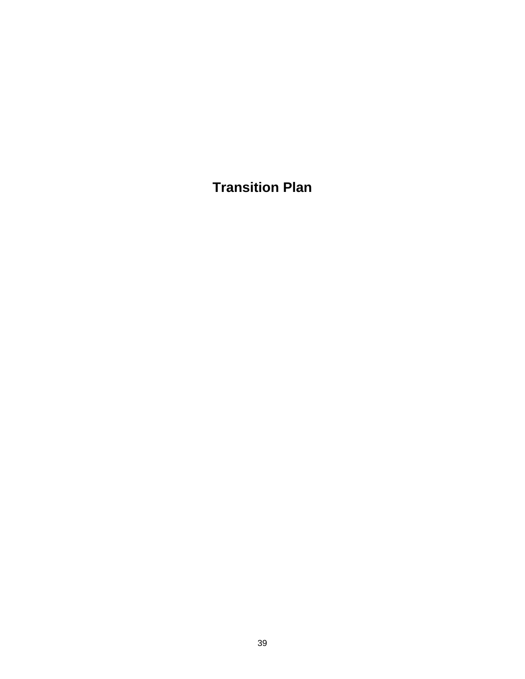**Transition Plan**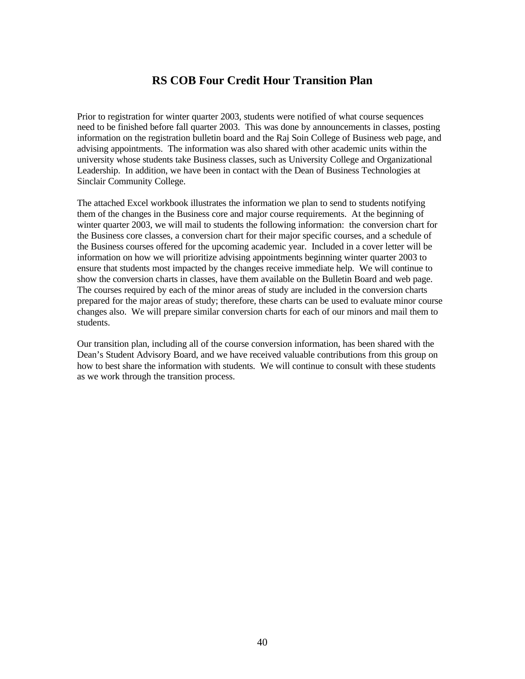### **RS COB Four Credit Hour Transition Plan**

Prior to registration for winter quarter 2003, students were notified of what course sequences need to be finished before fall quarter 2003. This was done by announcements in classes, posting information on the registration bulletin board and the Raj Soin College of Business web page, and advising appointments. The information was also shared with other academic units within the university whose students take Business classes, such as University College and Organizational Leadership. In addition, we have been in contact with the Dean of Business Technologies at Sinclair Community College.

The attached Excel workbook illustrates the information we plan to send to students notifying them of the changes in the Business core and major course requirements. At the beginning of winter quarter 2003, we will mail to students the following information: the conversion chart for the Business core classes, a conversion chart for their major specific courses, and a schedule of the Business courses offered for the upcoming academic year. Included in a cover letter will be information on how we will prioritize advising appointments beginning winter quarter 2003 to ensure that students most impacted by the changes receive immediate help. We will continue to show the conversion charts in classes, have them available on the Bulletin Board and web page. The courses required by each of the minor areas of study are included in the conversion charts prepared for the major areas of study; therefore, these charts can be used to evaluate minor course changes also. We will prepare similar conversion charts for each of our minors and mail them to students.

Our transition plan, including all of the course conversion information, has been shared with the Dean's Student Advisory Board, and we have received valuable contributions from this group on how to best share the information with students. We will continue to consult with these students as we work through the transition process.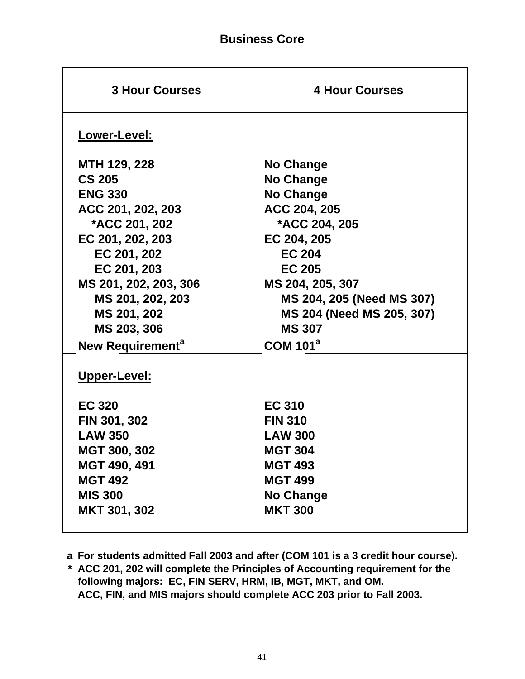| <b>3 Hour Courses</b>                                                                                                                                                                                                     | <b>4 Hour Courses</b>                                                                                                                                                                                                              |
|---------------------------------------------------------------------------------------------------------------------------------------------------------------------------------------------------------------------------|------------------------------------------------------------------------------------------------------------------------------------------------------------------------------------------------------------------------------------|
| Lower-Level:                                                                                                                                                                                                              |                                                                                                                                                                                                                                    |
| MTH 129, 228<br><b>CS 205</b><br><b>ENG 330</b><br>ACC 201, 202, 203<br><b>*ACC 201, 202</b><br>EC 201, 202, 203<br>EC 201, 202<br>EC 201, 203<br>MS 201, 202, 203, 306<br>MS 201, 202, 203<br>MS 201, 202<br>MS 203, 306 | No Change<br><b>No Change</b><br><b>No Change</b><br>ACC 204, 205<br>*ACC 204, 205<br>EC 204, 205<br><b>EC 204</b><br><b>EC 205</b><br>MS 204, 205, 307<br>MS 204, 205 (Need MS 307)<br>MS 204 (Need MS 205, 307)<br><b>MS 307</b> |
| New Requirement <sup>a</sup><br>Upper-Level:                                                                                                                                                                              | <b>COM 101<sup>a</sup></b>                                                                                                                                                                                                         |
| <b>EC 320</b><br>FIN 301, 302<br><b>LAW 350</b><br>MGT 300, 302<br>MGT 490, 491<br><b>MGT 492</b><br><b>MIS 300</b><br>MKT 301, 302                                                                                       | <b>EC 310</b><br><b>FIN 310</b><br><b>LAW 300</b><br><b>MGT 304</b><br><b>MGT 493</b><br><b>MGT 499</b><br><b>No Change</b><br><b>MKT 300</b>                                                                                      |

**a For students admitted Fall 2003 and after (COM 101 is a 3 credit hour course).**

**\* ACC 201, 202 will complete the Principles of Accounting requirement for the following majors: EC, FIN SERV, HRM, IB, MGT, MKT, and OM. ACC, FIN, and MIS majors should complete ACC 203 prior to Fall 2003.**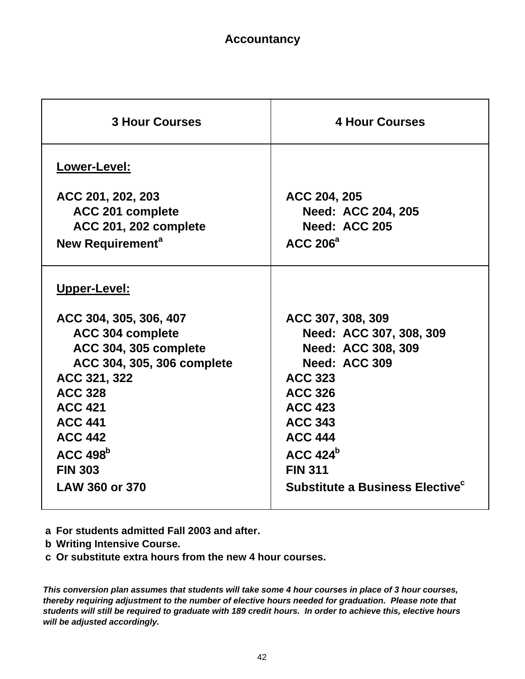| <b>3 Hour Courses</b>        | <b>4 Hour Courses</b>                       |
|------------------------------|---------------------------------------------|
| Lower-Level:                 |                                             |
| ACC 201, 202, 203            | ACC 204, 205                                |
| ACC 201 complete             | <b>Need: ACC 204, 205</b>                   |
| <b>ACC 201, 202 complete</b> | Need: ACC 205                               |
| New Requirement <sup>a</sup> | <b>ACC 206<sup>a</sup></b>                  |
| Upper-Level:                 |                                             |
| ACC 304, 305, 306, 407       | ACC 307, 308, 309                           |
| ACC 304 complete             | Need: ACC 307, 308, 309                     |
| <b>ACC 304, 305 complete</b> | Need: ACC 308, 309                          |
| ACC 304, 305, 306 complete   | Need: ACC 309                               |
| ACC 321, 322                 | <b>ACC 323</b>                              |
| <b>ACC 328</b>               | <b>ACC 326</b>                              |
| <b>ACC 421</b>               | <b>ACC 423</b>                              |
| <b>ACC 441</b>               | <b>ACC 343</b>                              |
| <b>ACC 442</b>               | <b>ACC 444</b>                              |
| $ACC$ 498 $b$                | $ACC$ 424 <sup>b</sup>                      |
| <b>FIN 303</b>               | <b>FIN 311</b>                              |
| LAW 360 or 370               | Substitute a Business Elective <sup>c</sup> |
|                              |                                             |

**a For students admitted Fall 2003 and after.**

**b Writing Intensive Course.**

**c Or substitute extra hours from the new 4 hour courses.**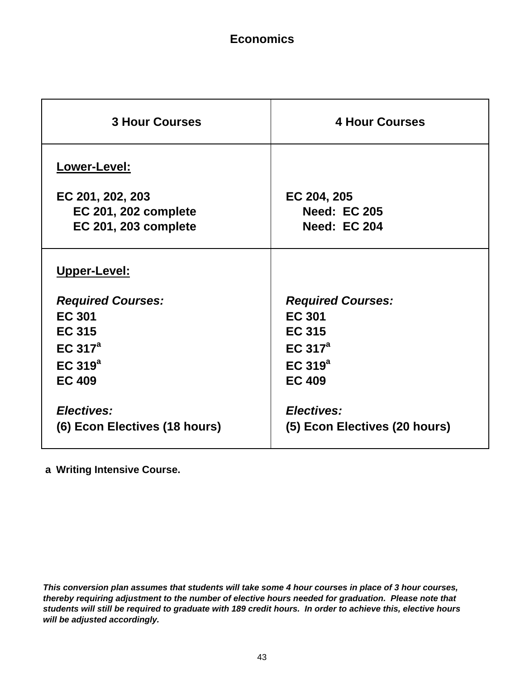# **Economics**

| <b>3 Hour Courses</b>                                                                                                   | <b>4 Hour Courses</b>                                                                                            |
|-------------------------------------------------------------------------------------------------------------------------|------------------------------------------------------------------------------------------------------------------|
| Lower-Level:                                                                                                            |                                                                                                                  |
| EC 201, 202, 203                                                                                                        | EC 204, 205                                                                                                      |
| <b>EC 201, 202 complete</b>                                                                                             | <b>Need: EC 205</b>                                                                                              |
| <b>EC 201, 203 complete</b>                                                                                             | <b>Need: EC 204</b>                                                                                              |
| Upper-Level:<br><b>Required Courses:</b><br><b>EC 301</b><br><b>EC 315</b><br>EC $317^a$<br>EC $319^a$<br><b>EC 409</b> | <b>Required Courses:</b><br><b>EC 301</b><br><b>EC 315</b><br>EC 317 <sup>a</sup><br>EC $319^a$<br><b>EC 409</b> |
| Electives:                                                                                                              | Electives:                                                                                                       |
| (6) Econ Electives (18 hours)                                                                                           | (5) Econ Electives (20 hours)                                                                                    |

**a Writing Intensive Course.**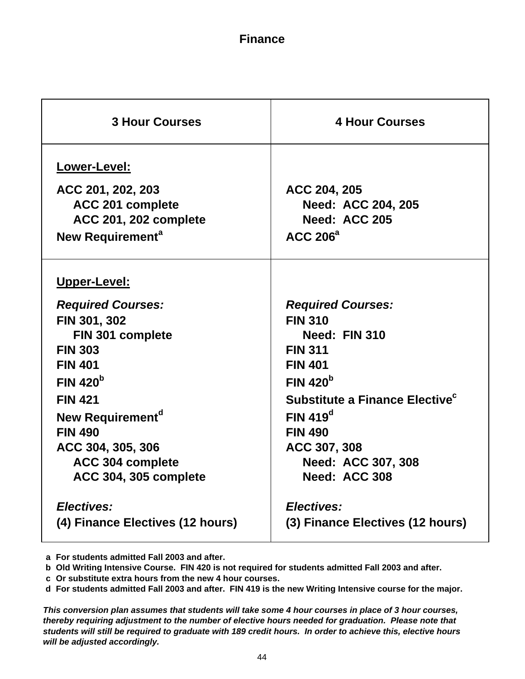### **Finance**

| <b>3 Hour Courses</b>                                                                                                                                                                                                                    | <b>4 Hour Courses</b>                                                                                                                                                                                                           |
|------------------------------------------------------------------------------------------------------------------------------------------------------------------------------------------------------------------------------------------|---------------------------------------------------------------------------------------------------------------------------------------------------------------------------------------------------------------------------------|
| Lower-Level:<br>ACC 201, 202, 203<br>ACC 201 complete<br><b>ACC 201, 202 complete</b><br>New Requirement <sup>a</sup>                                                                                                                    | ACC 204, 205<br><b>Need: ACC 204, 205</b><br>Need: ACC 205<br><b>ACC 206<sup>a</sup></b>                                                                                                                                        |
| <b>Upper-Level:</b><br><b>Required Courses:</b><br>FIN 301, 302<br>FIN 301 complete<br><b>FIN 303</b><br><b>FIN 401</b><br>FIN 420 <sup>b</sup><br><b>FIN 421</b><br>New Requirement <sup>a</sup><br><b>FIN 490</b><br>ACC 304, 305, 306 | <b>Required Courses:</b><br><b>FIN 310</b><br>Need: FIN 310<br><b>FIN 311</b><br><b>FIN 401</b><br>FIN 420 <sup>b</sup><br>Substitute a Finance Elective <sup>c</sup><br>FIN 419 <sup>d</sup><br><b>FIN 490</b><br>ACC 307, 308 |
| ACC 304 complete<br>ACC 304, 305 complete<br>Electives:<br>(4) Finance Electives (12 hours)                                                                                                                                              | Need: ACC 307, 308<br>Need: ACC 308<br>Electives:<br>(3) Finance Electives (12 hours)                                                                                                                                           |

**a For students admitted Fall 2003 and after.**

**b Old Writing Intensive Course. FIN 420 is not required for students admitted Fall 2003 and after.**

**c Or substitute extra hours from the new 4 hour courses.**

**d For students admitted Fall 2003 and after. FIN 419 is the new Writing Intensive course for the major.**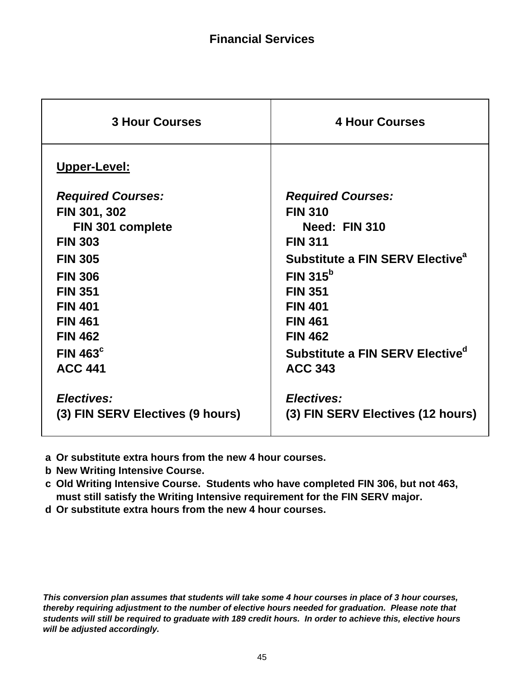| <b>3 Hour Courses</b>            | <b>4 Hour Courses</b>                       |
|----------------------------------|---------------------------------------------|
| <b>Upper-Level:</b>              |                                             |
| <b>Required Courses:</b>         | <b>Required Courses:</b>                    |
| FIN 301, 302                     | <b>FIN 310</b>                              |
| FIN 301 complete                 | Need: FIN 310                               |
| <b>FIN 303</b>                   | <b>FIN 311</b>                              |
| <b>FIN 305</b>                   | Substitute a FIN SERV Elective <sup>a</sup> |
| <b>FIN 306</b>                   | FIN $315^b$                                 |
| <b>FIN 351</b>                   | <b>FIN 351</b>                              |
| <b>FIN 401</b>                   | <b>FIN 401</b>                              |
| <b>FIN 461</b>                   | <b>FIN 461</b>                              |
| <b>FIN 462</b>                   | <b>FIN 462</b>                              |
| FIN 463 <sup>c</sup>             | Substitute a FIN SERV Elective <sup>a</sup> |
| <b>ACC 441</b>                   | <b>ACC 343</b>                              |
| Electives:                       | Electives:                                  |
| (3) FIN SERV Electives (9 hours) | (3) FIN SERV Electives (12 hours)           |
|                                  |                                             |

- **a Or substitute extra hours from the new 4 hour courses.**
- **b New Writing Intensive Course.**
- **c Old Writing Intensive Course. Students who have completed FIN 306, but not 463, must still satisfy the Writing Intensive requirement for the FIN SERV major.**
- **d Or substitute extra hours from the new 4 hour courses.**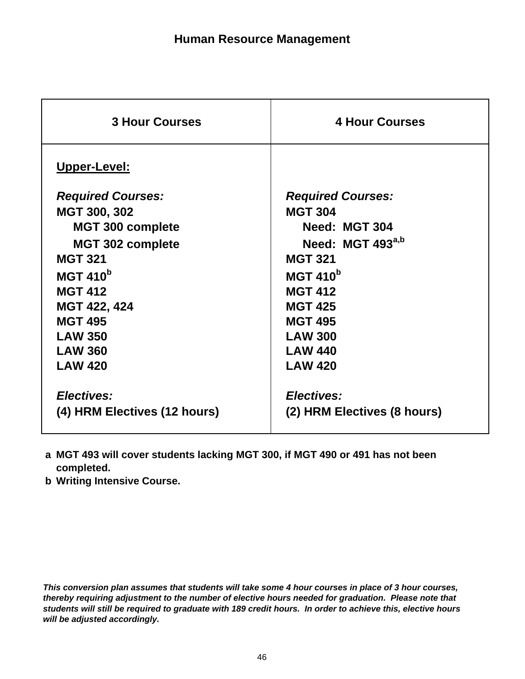| <b>3 Hour Courses</b>        | <b>4 Hour Courses</b>        |
|------------------------------|------------------------------|
| <b>Upper-Level:</b>          |                              |
| <b>Required Courses:</b>     | <b>Required Courses:</b>     |
| MGT 300, 302                 | <b>MGT 304</b>               |
| <b>MGT 300 complete</b>      | Need: MGT 304                |
| <b>MGT 302 complete</b>      | Need: MGT 493 <sup>a,b</sup> |
| <b>MGT 321</b>               | <b>MGT 321</b>               |
| <b>MGT 410<sup>b</sup></b>   | <b>MGT 410<sup>b</sup></b>   |
| <b>MGT 412</b>               | <b>MGT 412</b>               |
| MGT 422, 424                 | <b>MGT 425</b>               |
| <b>MGT 495</b>               | <b>MGT 495</b>               |
| <b>LAW 350</b>               | <b>LAW 300</b>               |
| <b>LAW 360</b>               | <b>LAW 440</b>               |
| <b>LAW 420</b>               | <b>LAW 420</b>               |
| <b>Electives:</b>            | Electives:                   |
|                              |                              |
| (4) HRM Electives (12 hours) | (2) HRM Electives (8 hours)  |
|                              |                              |

- **a MGT 493 will cover students lacking MGT 300, if MGT 490 or 491 has not been completed.**
- **b Writing Intensive Course.**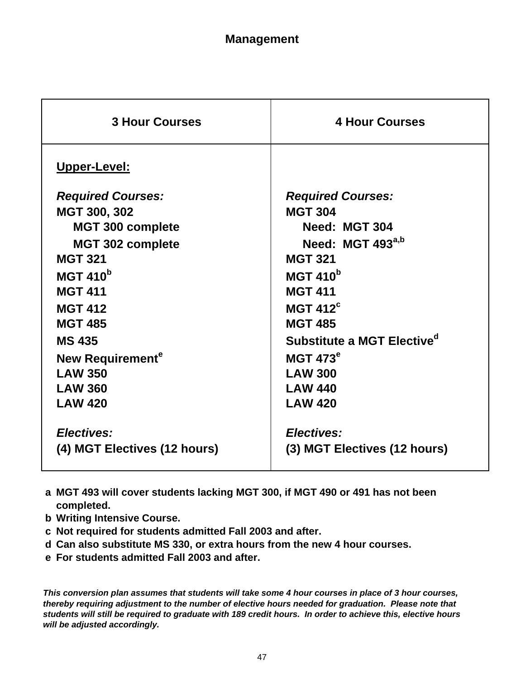| <b>3 Hour Courses</b>        | <b>4 Hour Courses</b>                  |
|------------------------------|----------------------------------------|
| Upper-Level:                 |                                        |
| <b>Required Courses:</b>     | <b>Required Courses:</b>               |
| MGT 300, 302                 | <b>MGT 304</b>                         |
| <b>MGT 300 complete</b>      | Need: MGT 304                          |
| <b>MGT 302 complete</b>      | Need: MGT 493 <sup>a,b</sup>           |
| <b>MGT 321</b>               | <b>MGT 321</b>                         |
| <b>MGT 410</b> <sup>b</sup>  | <b>MGT 410</b> <sup>b</sup>            |
| <b>MGT 411</b>               | <b>MGT 411</b>                         |
| <b>MGT 412</b>               | MGT $412^c$                            |
| <b>MGT 485</b>               | <b>MGT 485</b>                         |
| <b>MS 435</b>                | Substitute a MGT Elective <sup>d</sup> |
| New Requirement <sup>e</sup> | <b>MGT 473<sup>e</sup></b>             |
| <b>LAW 350</b>               | <b>LAW 300</b>                         |
| <b>LAW 360</b>               | <b>LAW 440</b>                         |
| <b>LAW 420</b>               | <b>LAW 420</b>                         |
|                              |                                        |
| Electives:                   | Electives:                             |
| (4) MGT Electives (12 hours) | (3) MGT Electives (12 hours)           |
|                              |                                        |

- **a MGT 493 will cover students lacking MGT 300, if MGT 490 or 491 has not been completed.**
- **b Writing Intensive Course.**
- **c Not required for students admitted Fall 2003 and after.**
- **d Can also substitute MS 330, or extra hours from the new 4 hour courses.**
- **e For students admitted Fall 2003 and after.**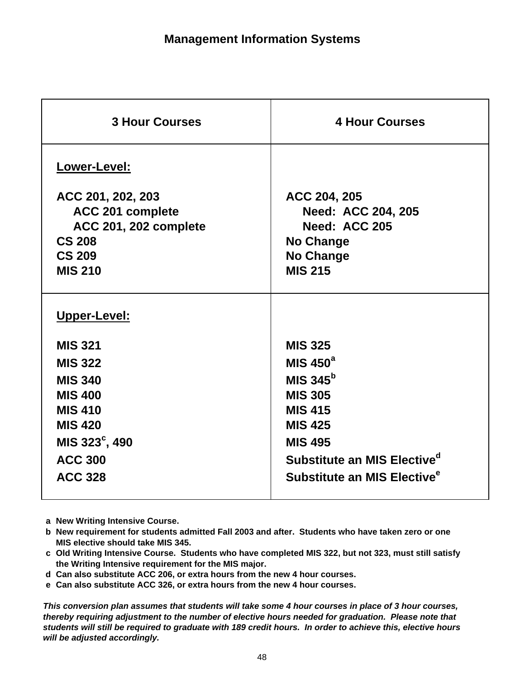| <b>3 Hour Courses</b><br><b>4 Hour Courses</b><br>Lower-Level:<br>ACC 201, 202, 203<br>ACC 204, 205<br>ACC 201 complete<br><b>Need: ACC 204, 205</b><br><b>Need: ACC 205</b><br><b>ACC 201, 202 complete</b><br><b>CS 208</b><br><b>No Change</b><br><b>CS 209</b><br><b>No Change</b><br><b>MIS 215</b><br><b>MIS 210</b><br>Upper-Level:<br><b>MIS 321</b><br><b>MIS 325</b><br>MIS $450^a$<br><b>MIS 322</b><br>MIS 345 $b$<br><b>MIS 340</b><br><b>MIS 305</b><br><b>MIS 400</b><br><b>MIS 410</b><br><b>MIS 415</b><br><b>MIS 420</b><br><b>MIS 425</b><br>MIS 323°, 490<br><b>MIS 495</b><br>Substitute an MIS Elective <sup>d</sup><br><b>ACC 300</b><br>Substitute an MIS Elective <sup>e</sup><br><b>ACC 328</b> |
|---------------------------------------------------------------------------------------------------------------------------------------------------------------------------------------------------------------------------------------------------------------------------------------------------------------------------------------------------------------------------------------------------------------------------------------------------------------------------------------------------------------------------------------------------------------------------------------------------------------------------------------------------------------------------------------------------------------------------|
|                                                                                                                                                                                                                                                                                                                                                                                                                                                                                                                                                                                                                                                                                                                           |
|                                                                                                                                                                                                                                                                                                                                                                                                                                                                                                                                                                                                                                                                                                                           |
|                                                                                                                                                                                                                                                                                                                                                                                                                                                                                                                                                                                                                                                                                                                           |
|                                                                                                                                                                                                                                                                                                                                                                                                                                                                                                                                                                                                                                                                                                                           |
|                                                                                                                                                                                                                                                                                                                                                                                                                                                                                                                                                                                                                                                                                                                           |
|                                                                                                                                                                                                                                                                                                                                                                                                                                                                                                                                                                                                                                                                                                                           |

**a New Writing Intensive Course.**

**b New requirement for students admitted Fall 2003 and after. Students who have taken zero or one MIS elective should take MIS 345.**

**c Old Writing Intensive Course. Students who have completed MIS 322, but not 323, must still satisfy the Writing Intensive requirement for the MIS major.**

**d Can also substitute ACC 206, or extra hours from the new 4 hour courses.**

**e Can also substitute ACC 326, or extra hours from the new 4 hour courses.**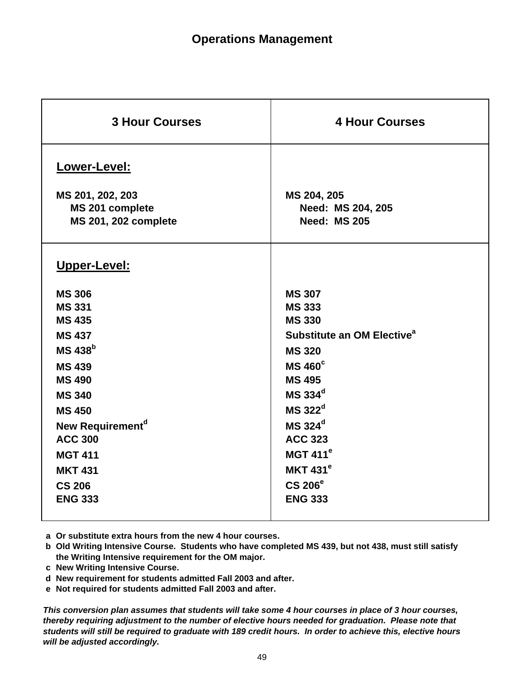| <b>3 Hour Courses</b>            | <b>4 Hour Courses</b>                  |
|----------------------------------|----------------------------------------|
| Lower-Level:<br>MS 201, 202, 203 | MS 204, 205                            |
| MS 201 complete                  | Need: MS 204, 205                      |
|                                  | <b>Need: MS 205</b>                    |
| <b>MS 201, 202 complete</b>      |                                        |
| Upper-Level:                     |                                        |
| <b>MS 306</b>                    | <b>MS 307</b>                          |
| <b>MS 331</b>                    | <b>MS 333</b>                          |
| <b>MS 435</b>                    | <b>MS 330</b>                          |
| <b>MS 437</b>                    | Substitute an OM Elective <sup>a</sup> |
| <b>MS 438</b> b                  | <b>MS 320</b>                          |
| <b>MS439</b>                     | <b>MS 460°</b>                         |
| <b>MS490</b>                     | <b>MS 495</b>                          |
| <b>MS 340</b>                    | MS 334 <sup>d</sup>                    |
| <b>MS 450</b>                    | MS 322 <sup>d</sup>                    |
| New Requirement <sup>d</sup>     | MS 324 <sup>d</sup>                    |
| <b>ACC 300</b>                   | <b>ACC 323</b>                         |
| <b>MGT 411</b>                   | MGT $411e$                             |
| <b>MKT 431</b>                   | <b>MKT 431<sup>e</sup></b>             |
| <b>CS 206</b>                    | CS 206 <sup>e</sup>                    |
| <b>ENG 333</b>                   | <b>ENG 333</b>                         |
|                                  |                                        |

**a Or substitute extra hours from the new 4 hour courses.**

- **b Old Writing Intensive Course. Students who have completed MS 439, but not 438, must still satisfy the Writing Intensive requirement for the OM major.**
- **c New Writing Intensive Course.**
- **d New requirement for students admitted Fall 2003 and after.**
- **e Not required for students admitted Fall 2003 and after.**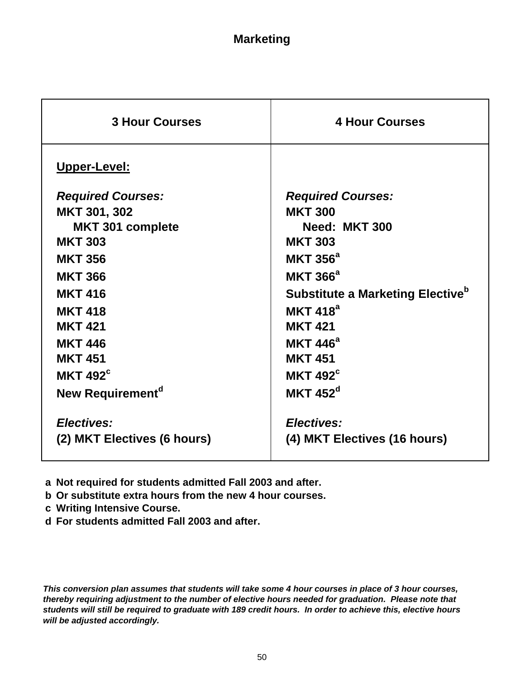| <b>3 Hour Courses</b>        | <b>4 Hour Courses</b>                               |
|------------------------------|-----------------------------------------------------|
| Upper-Level:                 |                                                     |
| <b>Required Courses:</b>     | <b>Required Courses:</b>                            |
| MKT 301, 302                 | <b>MKT 300</b>                                      |
| <b>MKT 301 complete</b>      | Need: MKT 300                                       |
| <b>MKT 303</b>               | <b>MKT 303</b>                                      |
| <b>MKT 356</b>               | <b>MKT 356<sup>a</sup></b>                          |
| <b>MKT 366</b>               | <b>MKT 366<sup>a</sup></b>                          |
| <b>MKT 416</b>               | <b>Substitute a Marketing Elective</b> <sup>b</sup> |
| <b>MKT 418</b>               | MKT $418^a$                                         |
| <b>MKT 421</b>               | <b>MKT 421</b>                                      |
| <b>MKT 446</b>               | <b>MKT 446<sup>a</sup></b>                          |
| <b>MKT 451</b>               | <b>MKT 451</b>                                      |
| <b>MKT 492<sup>c</sup></b>   | MKT $492^{\circ}$                                   |
| New Requirement <sup>d</sup> | MKT $452^d$                                         |
| Electives:                   | Electives:                                          |
| (2) MKT Electives (6 hours)  | (4) MKT Electives (16 hours)                        |
|                              |                                                     |

**a Not required for students admitted Fall 2003 and after.**

**b Or substitute extra hours from the new 4 hour courses.**

**c Writing Intensive Course.**

**d For students admitted Fall 2003 and after.**